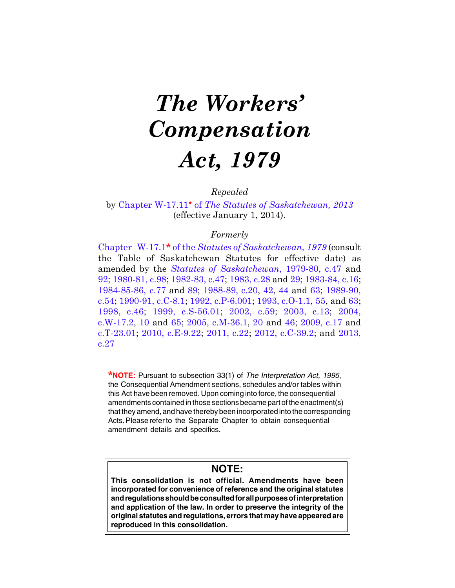# *The Workers' Compensation Act, 1979*

*Repealed*

by Chapter W-17.11**\*** of *The [Statutes of Saskatchewan, 2013](https://publications.saskatchewan.ca:443/api/v1/products/67232/formats/74712/download)* (effective January 1, 2014).

# *Formerly*

Chapter W-17.1**\*** of the *Statutes of [Saskatchewan,](https://publications.saskatchewan.ca:443/api/v1/products/117071/formats/134261/download) 1979* (consult the Table of Saskatchewan Statutes for effective date) as amended by the *Statutes of [Saskatchewan](https://publications.saskatchewan.ca:443/api/v1/products/115874/formats/131699/download)*, 1979-80, c.47 and [92;](https://publications.saskatchewan.ca:443/api/v1/products/67867/formats/75385/download) [1980-81,](https://publications.saskatchewan.ca:443/api/v1/products/113182/formats/127292/download) c.98; [1982-83,](https://publications.saskatchewan.ca:443/api/v1/products/111686/formats/125461/download) c.47; [1983,](https://publications.saskatchewan.ca:443/api/v1/products/111867/formats/125698/download) c.28 and [29;](https://publications.saskatchewan.ca:443/api/v1/products/30609/formats/37591/download) [1983-84,](https://publications.saskatchewan.ca:443/api/v1/products/67871/formats/75393/download) c.16; [1984-85-86, c.77](https://publications.saskatchewan.ca:443/api/v1/products/106298/formats/118885/download) and [89;](https://publications.saskatchewan.ca:443/api/v1/products/106312/formats/118913/download) [1988-89, c.20,](https://publications.saskatchewan.ca:443/api/v1/products/103532/formats/114845/download) [42](https://publications.saskatchewan.ca:443/api/v1/products/103564/formats/114897/download), [44](https://publications.saskatchewan.ca:443/api/v1/products/103566/formats/114901/download) and [63;](https://publications.saskatchewan.ca:443/api/v1/products/103588/formats/114940/download) [1989-90,](https://publications.saskatchewan.ca:443/api/v1/products/24596/formats/31624/download) [c.54;](https://publications.saskatchewan.ca:443/api/v1/products/24596/formats/31624/download) [1990-91, c.C-8.1;](https://publications.saskatchewan.ca:443/api/v1/products/24727/formats/31814/download) [1992, c.P-6.001](https://publications.saskatchewan.ca:443/api/v1/products/25095/formats/32322/download); [1993, c.O-1.1,](https://publications.saskatchewan.ca:443/api/v1/products/26404/formats/33544/download) [55,](https://publications.saskatchewan.ca:443/api/v1/products/26650/formats/33868/download) and [63;](https://publications.saskatchewan.ca:443/api/v1/products/26657/formats/33882/download) [1998,](https://publications.saskatchewan.ca:443/api/v1/products/3627/formats/6844/download) c.46; 1999, [c.S-56.01](https://publications.saskatchewan.ca:443/api/v1/products/3546/formats/6682/download); [2002,](https://publications.saskatchewan.ca:443/api/v1/products/4335/formats/8260/download) c.59; [2003,](https://publications.saskatchewan.ca:443/api/v1/products/4476/formats/8533/download) c.13; [2004,](https://publications.saskatchewan.ca:443/api/v1/products/9375/formats/14133/download) [c.W-17.2,](https://publications.saskatchewan.ca:443/api/v1/products/9375/formats/14133/download) [10](https://publications.saskatchewan.ca:443/api/v1/products/9328/formats/14041/download) and [65](https://publications.saskatchewan.ca:443/api/v1/products/9537/formats/14450/download); [2005, c.M-36.1](https://publications.saskatchewan.ca:443/api/v1/products/10332/formats/15618/download), [20](https://publications.saskatchewan.ca:443/api/v1/products/10153/formats/15359/download) and [46](https://publications.saskatchewan.ca:443/api/v1/products/11543/formats/17125/download); [2009, c.17](https://publications.saskatchewan.ca:443/api/v1/products/28103/formats/35206/download) and [c.T-23.01;](https://publications.saskatchewan.ca:443/api/v1/products/27765/formats/34842/download) [2010, c.E-9.22;](https://publications.saskatchewan.ca:443/api/v1/products/30312/formats/37301/download) [2011, c.22;](https://publications.saskatchewan.ca:443/api/v1/products/32528/formats/39602/download) [2012, c.C-39.2](https://publications.saskatchewan.ca:443/api/v1/products/64260/formats/71561/download); and [2013,](https://publications.saskatchewan.ca:443/api/v1/products/67239/formats/74726/download) [c.27](https://publications.saskatchewan.ca:443/api/v1/products/67239/formats/74726/download)

**\*NOTE:** Pursuant to subsection 33(1) of *The Interpretation Act, 1995*, the Consequential Amendment sections, schedules and/or tables within this Act have been removed. Upon coming into force, the consequential amendments contained in those sections became part of the enactment(s) that they amend, and have thereby been incorporated into the corresponding Acts. Please referto the Separate Chapter to obtain consequential amendment details and specifics.

# **NOTE:**

**This consolidation is not official. Amendments have been incorporated for convenience of reference and the original statutes and regulations should be consulted for all purposes of interpretation and application of the law. In order to preserve the integrity of the original statutes and regulations, errors that may have appeared are reproduced in this consolidation.**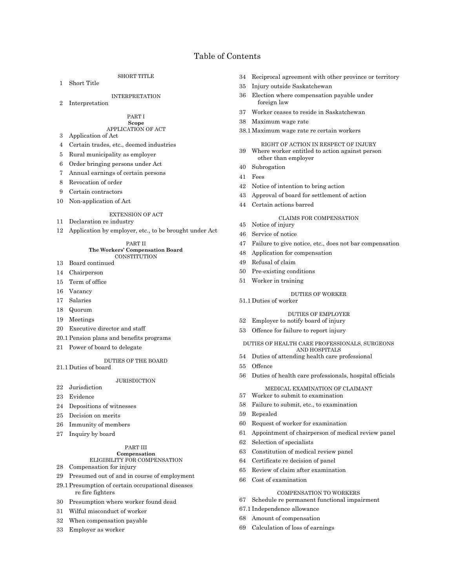# Table of Contents

SHORT TITLE

1 Short Title

## INTERPRETATION

2 Interpretation

#### PART I **Scope**

# APPLICATION OF ACT

- 3 Application of Act
- 4 Certain trades, etc., deemed industries
- 5 Rural municipality as employer
- 6 Order bringing persons under Act
- 7 Annual earnings of certain persons
- 8 Revocation of order
- 9 Certain contractors
- 10 Non-application of Act

#### EXTENSION OF ACT

- 11 Declaration re industry
- 12 Application by employer, etc., to be brought under Act

#### PART II **The Workers' Compensation Board CONSTITUTION**

- 13 Board continued
- 14 Chairperson
- 15 Term of office
- 16 Vacancy
- 17 Salaries
- 18 Quorum
- 
- 19 Meetings
- 20 Executive director and staff
- 20.1 Pension plans and benefits programs
- 21 Power of board to delegate

#### DUTIES OF THE BOARD

21.1 Duties of board

## **JURISDICTION**

- 22 Jurisdiction
- 23 Evidence
- 24 Depositions of witnesses
- 25 Decision on merits
- 26 Immunity of members
- 27 Inquiry by board

## PART III

#### **Compensation** ELIGIBILITY FOR COMPENSATION

- 28 Compensation for injury
- 29 Presumed out of and in course of employment
- 29.1 Presumption of certain occupational diseases re fire fighters
- 30 Presumption where worker found dead
- 31 Wilful misconduct of worker
- 32 When compensation payable
- 33 Employer as worker
- 34 Reciprocal agreement with other province or territory
- 35 Injury outside Saskatchewan
- 36 Election where compensation payable under foreign law
- 37 Worker ceases to reside in Saskatchewan
- 38 Maximum wage rate
- 38.1 Maximum wage rate re certain workers

#### RIGHT OF ACTION IN RESPECT OF INJURY

- 39 Where worker entitled to action against person other than employer
- 40 Subrogation
- 41 Fees
- 42 Notice of intention to bring action
- 43 Approval of board for settlement of action
- 44 Certain actions barred

# CLAIMS FOR COMPENSATION

- 45 Notice of injury
- 46 Service of notice
- 47 Failure to give notice, etc., does not bar compensation
- 48 Application for compensation
- 49 Refusal of claim
- 50 Pre-existing conditions
- 51 Worker in training

#### DUTIES OF WORKER

51.1 Duties of worker

#### DUTIES OF EMPLOYER

- 52 Employer to notify board of injury
- 53 Offence for failure to report injury

#### DUTIES OF HEALTH CARE PROFESSIONALS, SURGEONS AND HOSPITALS

- 54 Duties of attending health care professional
- 55 Offence
- 56 Duties of health care professionals, hospital officials

## MEDICAL EXAMINATION OF CLAIMANT

- 57 Worker to submit to examination
- 58 Failure to submit, etc., to examination
- 59 Repealed
- 60 Request of worker for examination
- 61 Appointment of chairperson of medical review panel
- 62 Selection of specialists
- 63 Constitution of medical review panel
- 64 Certificate re decision of panel
- 65 Review of claim after examination
- 66 Cost of examination

## COMPENSATION TO WORKERS

- 67 Schedule re permanent functional impairment
- 67.1 Independence allowance
- 68 Amount of compensation
- 69 Calculation of loss of earnings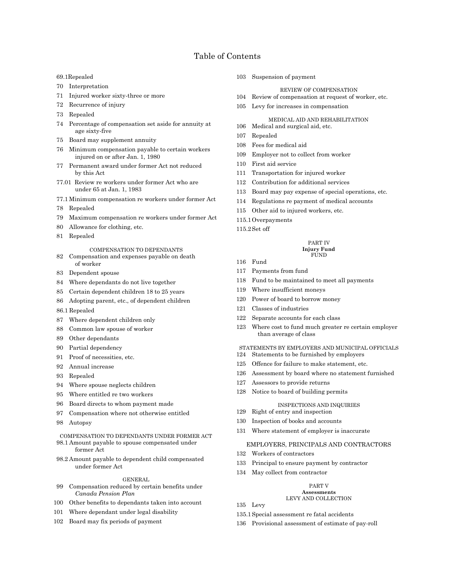# Table of Contents

- 69.1Repealed
- 70 Interpretation
- 71 Injured worker sixty-three or more
- 72 Recurrence of injury
- 73 Repealed
- 74 Percentage of compensation set aside for annuity at age sixty-five
- 75 Board may supplement annuity
- 76 Minimum compensation payable to certain workers injured on or after Jan. 1, 1980
- 77 Permanent award under former Act not reduced by this Act
- 77.01 Review re workers under former Act who are under 65 at Jan. 1, 1983
- 77.1 Minimum compensation re workers under former Act
- 78 Repealed
- 79 Maximum compensation re workers under former Act
- 80 Allowance for clothing, etc.
- 81 Repealed

#### COMPENSATION TO DEPENDANTS

- 82 Compensation and expenses payable on death of worker
- 83 Dependent spouse
- 84 Where dependants do not live together
- 85 Certain dependent children 18 to 25 years
- 86 Adopting parent, etc., of dependent children
- 86.1 Repealed
- 87 Where dependent children only
- 88 Common law spouse of worker
- 89 Other dependants
- 90 Partial dependency
- 91 Proof of necessities, etc.
- 92 Annual increase
- 93 Repealed
- 94 Where spouse neglects children
- 95 Where entitled re two workers
- 96 Board directs to whom payment made
- 97 Compensation where not otherwise entitled
- 98 Autopsy

#### COMPENSATION TO DEPENDANTS UNDER FORMER ACT 98.1 Amount payable to spouse compensated under former Act

98.2 Amount payable to dependent child compensated under former Act

#### GENERAL

- 99 Compensation reduced by certain benefits under *Canada Pension Plan*
- 100 Other benefits to dependants taken into account
- 101 Where dependant under legal disability
- 102 Board may fix periods of payment

103 Suspension of payment

#### REVIEW OF COMPENSATION

- 104 Review of compensation at request of worker, etc.
- 105 Levy for increases in compensation

#### MEDICAL AID AND REHABILITATION

- 106 Medical and surgical aid, etc.
- 107 Repealed
- 108 Fees for medical aid
- 109 Employer not to collect from worker
- 110 First aid service
- 111 Transportation for injured worker
- 112 Contribution for additional services
- 113 Board may pay expense of special operations, etc.
- 114 Regulations re payment of medical accounts
- 115 Other aid to injured workers, etc.
- 115.1Overpayments
- 115.2Set off

#### PART IV **Injury Fund** FUND

- 116 Fund
- 117 Payments from fund
- 118 Fund to be maintained to meet all payments
- 119 Where insufficient moneys
- 120 Power of board to borrow money
- 121 Classes of industries
- 122 Separate accounts for each class
- 123 Where cost to fund much greater re certain employer than average of class

#### STATEMENTS BY EMPLOYERS AND MUNICIPAL OFFICIALS 124 Statements to be furnished by employers

- 125 Offence for failure to make statement, etc.
- 
- 126 Assessment by board where no statement furnished
- 127 Assessors to provide returns
- 128 Notice to board of building permits

#### INSPECTIONS AND INQUIRIES

- 129 Right of entry and inspection
- 130 Inspection of books and accounts
- 131 Where statement of employer is inaccurate

#### EMPLOYERS, PRINCIPALS AND CONTRACTORS

- 132 Workers of contractors
- 133 Principal to ensure payment by contractor
- 134 May collect from contractor

#### PART V

#### **Assessments** LEVY AND COLLECTION

- 135 Levy
- 135.1Special assessment re fatal accidents
- 136 Provisional assessment of estimate of pay-roll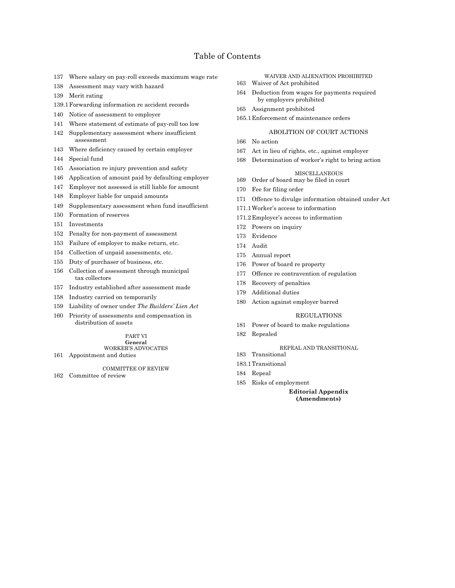# Table of Contents

- 137 Where salary on pay-roll exceeds maximum wage rate
- 138 Assessment may vary with hazard
- 139 Merit rating
- 139.1Forwarding information re accident records
- 140 Notice of assessment to employer
- 141 Where statement of estimate of pay-roll too low
- 142 Supplementary assessment where insufficient assessment
- 143 Where deficiency caused by certain employer
- 144 Special fund
- 145 Association re injury prevention and safety
- 146 Application of amount paid by defaulting employer
- 147 Employer not assessed is still liable for amount
- 148 Employer liable for unpaid amounts
- 149 Supplementary assessment when fund insufficient
- 150 Formation of reserves
- 151 Investments
- 152 Penalty for non-payment of assessment
- 153 Failure of employer to make return, etc.
- 154 Collection of unpaid assessments, etc.
- 155 Duty of purchaser of business, etc.
- 156 Collection of assessment through municipal tax collectors
- 157 Industry established after assessment made
- 158 Industry carried on temporarily
- 159 Liability of owner under *The Builders' Lien Act*
- 160 Priority of assessments and compensation in distribution of assets

## PART VI

#### **General** WORKER'S ADVOCATES

161 Appointment and duties

#### COMMITTEE OF REVIEW

162 Committee of review

- WAIVER AND ALIENATION PROHIBITED 163 Waiver of Act prohibited
- 164 Deduction from wages for payments required by employers prohibited
- 165 Assignment prohibited
- 165.1Enforcement of maintenance orders

#### ABOLITION OF COURT ACTIONS

- 166 No action
- 167 Act in lieu of rights, etc., against employer
- 168 Determination of worker's right to bring action

#### MISCELLANEOUS

- 169 Order of board may be filed in court
- 170 Fee for filing order
- 171 Offence to divulge information obtained under Act
- 171.1Worker's access to information
- 171.2Employer's access to information
- 172 Powers on inquiry
- 173 Evidence
- 174 Audit
- 175 Annual report
- 176 Power of board re property
- 177 Offence re contravention of regulation
- 178 Recovery of penalties
- 179 Additional duties
- 180 Action against employer barred

#### REGULATIONS

- 181 Power of board to make regulations
- 182 Repealed

## REPEAL AND TRANSITIONAL

- 183 Transitional
- 183.1Transitional
- 184 Repeal
- 185 Risks of employment

**Editorial Appendix (Amendments)**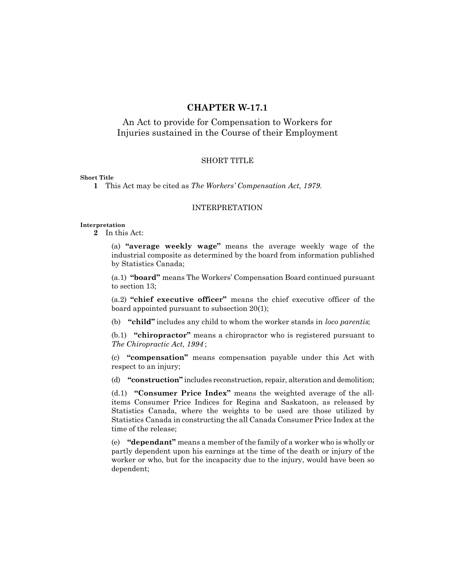# **CHAPTER W-17.1**

# An Act to provide for Compensation to Workers for Injuries sustained in the Course of their Employment

## SHORT TITLE

## **Short Title**

**1** This Act may be cited as *The Workers' Compensation Act, 1979*.

## INTERPRETATION

#### **Interpretation**

**2** In this Act:

(a) **"average weekly wage"** means the average weekly wage of the industrial composite as determined by the board from information published by Statistics Canada;

(a.1) **"board"** means The Workers' Compensation Board continued pursuant to section 13;

(a.2) **"chief executive officer"** means the chief executive officer of the board appointed pursuant to subsection 20(1);

(b) **"child"** includes any child to whom the worker stands in *loco parentis*;

(b.1) **"chiropractor"** means a chiropractor who is registered pursuant to *The Chiropractic Act, 1994* ;

(c) **"compensation"** means compensation payable under this Act with respect to an injury;

(d) **"construction"** includes reconstruction, repair, alteration and demolition;

(d.1) **"Consumer Price Index"** means the weighted average of the allitems Consumer Price Indices for Regina and Saskatoon, as released by Statistics Canada, where the weights to be used are those utilized by Statistics Canada in constructing the all Canada Consumer Price Index at the time of the release;

(e) **"dependant"** means a member of the family of a worker who is wholly or partly dependent upon his earnings at the time of the death or injury of the worker or who, but for the incapacity due to the injury, would have been so dependent;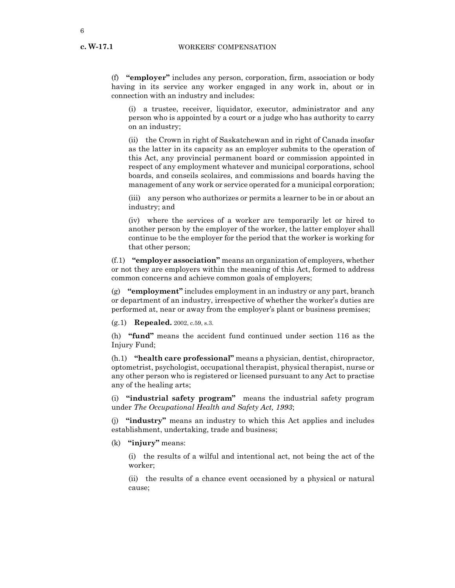(f) **"employer"** includes any person, corporation, firm, association or body having in its service any worker engaged in any work in, about or in connection with an industry and includes:

(i) a trustee, receiver, liquidator, executor, administrator and any person who is appointed by a court or a judge who has authority to carry on an industry;

(ii) the Crown in right of Saskatchewan and in right of Canada insofar as the latter in its capacity as an employer submits to the operation of this Act, any provincial permanent board or commission appointed in respect of any employment whatever and municipal corporations, school boards, and conseils scolaires, and commissions and boards having the management of any work or service operated for a municipal corporation;

(iii) any person who authorizes or permits a learner to be in or about an industry; and

(iv) where the services of a worker are temporarily let or hired to another person by the employer of the worker, the latter employer shall continue to be the employer for the period that the worker is working for that other person;

(f.1) **"employer association"** means an organization of employers, whether or not they are employers within the meaning of this Act, formed to address common concerns and achieve common goals of employers;

(g) **"employment"** includes employment in an industry or any part, branch or department of an industry, irrespective of whether the worker's duties are performed at, near or away from the employer's plant or business premises;

(g.1) **Repealed.** 2002, c.59, s.3.

(h) **"fund"** means the accident fund continued under section 116 as the Injury Fund;

(h.1) **"health care professional"** means a physician, dentist, chiropractor, optometrist, psychologist, occupational therapist, physical therapist, nurse or any other person who is registered or licensed pursuant to any Act to practise any of the healing arts;

(i) **"industrial safety program"** means the industrial safety program under *The Occupational Health and Safety Act, 1993*;

(j) **"industry"** means an industry to which this Act applies and includes establishment, undertaking, trade and business;

(k) **"injury"** means:

(i) the results of a wilful and intentional act, not being the act of the worker;

(ii) the results of a chance event occasioned by a physical or natural cause;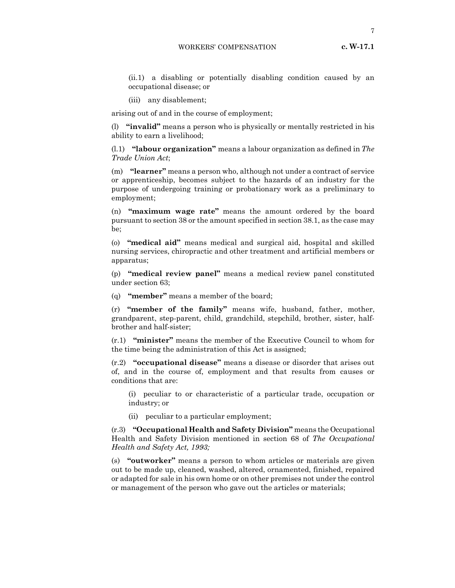7

- (ii.1) a disabling or potentially disabling condition caused by an occupational disease; or
- (iii) any disablement;

arising out of and in the course of employment;

(l) **"invalid"** means a person who is physically or mentally restricted in his ability to earn a livelihood;

(l.1) **"labour organization"** means a labour organization as defined in *The Trade Union Act*;

(m) **"learner"** means a person who, although not under a contract of service or apprenticeship, becomes subject to the hazards of an industry for the purpose of undergoing training or probationary work as a preliminary to employment;

(n) **"maximum wage rate"** means the amount ordered by the board pursuant to section 38 or the amount specified in section 38.1, as the case may be;

(o) **"medical aid"** means medical and surgical aid, hospital and skilled nursing services, chiropractic and other treatment and artificial members or apparatus;

(p) **"medical review panel"** means a medical review panel constituted under section 63;

(q) **"member"** means a member of the board;

(r) **"member of the family"** means wife, husband, father, mother, grandparent, step-parent, child, grandchild, stepchild, brother, sister, halfbrother and half-sister;

(r.1) **"minister"** means the member of the Executive Council to whom for the time being the administration of this Act is assigned;

(r.2) **"occupational disease"** means a disease or disorder that arises out of, and in the course of, employment and that results from causes or conditions that are:

(i) peculiar to or characteristic of a particular trade, occupation or industry; or

(ii) peculiar to a particular employment;

(r.3) **"Occupational Health and Safety Division"** means the Occupational Health and Safety Division mentioned in section 68 of *The Occupational Health and Safety Act, 1993;*

(s) **"outworker"** means a person to whom articles or materials are given out to be made up, cleaned, washed, altered, ornamented, finished, repaired or adapted for sale in his own home or on other premises not under the control or management of the person who gave out the articles or materials;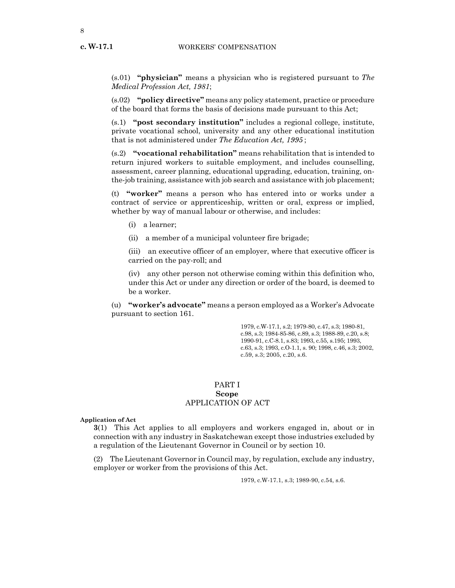**c. W-17.1**

(s.01) **"physician"** means a physician who is registered pursuant to *The Medical Profession Act, 1981*;

(s.02) **"policy directive"** means any policy statement, practice or procedure of the board that forms the basis of decisions made pursuant to this Act;

(s.1) **"post secondary institution"** includes a regional college, institute, private vocational school, university and any other educational institution that is not administered under *The Education Act, 1995* ;

(s.2) **"vocational rehabilitation"** means rehabilitation that is intended to return injured workers to suitable employment, and includes counselling, assessment, career planning, educational upgrading, education, training, onthe-job training, assistance with job search and assistance with job placement;

(t) **"worker"** means a person who has entered into or works under a contract of service or apprenticeship, written or oral, express or implied, whether by way of manual labour or otherwise, and includes:

- (i) a learner;
- (ii) a member of a municipal volunteer fire brigade;

(iii) an executive officer of an employer, where that executive officer is carried on the pay-roll; and

(iv) any other person not otherwise coming within this definition who, under this Act or under any direction or order of the board, is deemed to be a worker.

(u) **"worker's advocate"** means a person employed as a Worker's Advocate pursuant to section 161.

> 1979, c.W-17.1, s.2; 1979-80, c.47, s.3; 1980-81, c.98, s.3; 1984-85-86, c.89, s.3; 1988-89, c.20, s.8; 1990-91, c.C-8.1, s.83; 1993, c.55, s.195; 1993, c.63, s.3; 1993, c.O-1.1, s. 90; 1998, c.46, s.3; 2002, c.59, s.3; 2005, c.20, s.6.

## PART I **Scope** APPLICATION OF ACT

**Application of Act**

**3**(1) This Act applies to all employers and workers engaged in, about or in connection with any industry in Saskatchewan except those industries excluded by a regulation of the Lieutenant Governor in Council or by section 10.

(2) The Lieutenant Governor in Council may, by regulation, exclude any industry, employer or worker from the provisions of this Act.

1979, c.W-17.1, s.3; 1989-90, c.54, s.6.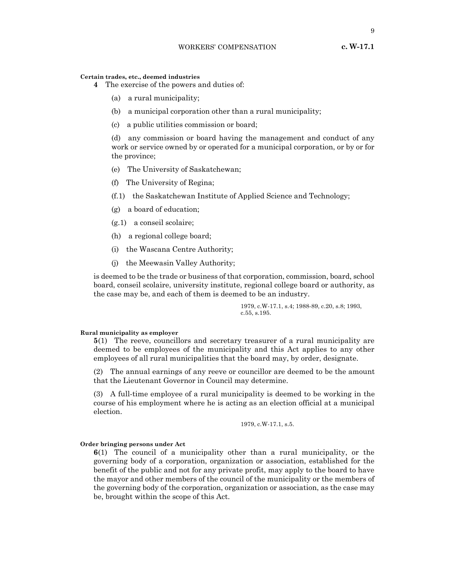## **Certain trades, etc., deemed industries**

- **4** The exercise of the powers and duties of:
	- (a) a rural municipality;
	- (b) a municipal corporation other than a rural municipality;
	- (c) a public utilities commission or board;

(d) any commission or board having the management and conduct of any work or service owned by or operated for a municipal corporation, or by or for the province;

- (e) The University of Saskatchewan;
- (f) The University of Regina;
- (f.1) the Saskatchewan Institute of Applied Science and Technology;
- (g) a board of education;
- (g.1) a conseil scolaire;
- (h) a regional college board;
- (i) the Wascana Centre Authority;
- (j) the Meewasin Valley Authority;

is deemed to be the trade or business of that corporation, commission, board, school board, conseil scolaire, university institute, regional college board or authority, as the case may be, and each of them is deemed to be an industry.

> 1979, c.W-17.1, s.4; 1988-89, c.20, s.8; 1993, c.55, s.195.

#### **Rural municipality as employer**

**5**(1) The reeve, councillors and secretary treasurer of a rural municipality are deemed to be employees of the municipality and this Act applies to any other employees of all rural municipalities that the board may, by order, designate.

(2) The annual earnings of any reeve or councillor are deemed to be the amount that the Lieutenant Governor in Council may determine.

(3) A full-time employee of a rural municipality is deemed to be working in the course of his employment where he is acting as an election official at a municipal election.

1979, c.W-17.1, s.5.

#### **Order bringing persons under Act**

**6**(1) The council of a municipality other than a rural municipality, or the governing body of a corporation, organization or association, established for the benefit of the public and not for any private profit, may apply to the board to have the mayor and other members of the council of the municipality or the members of the governing body of the corporation, organization or association, as the case may be, brought within the scope of this Act.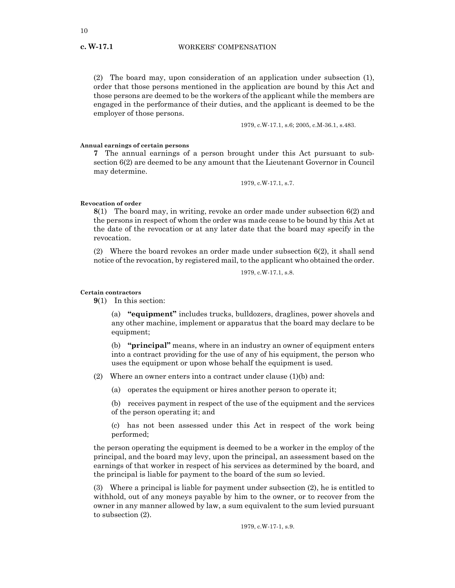(2) The board may, upon consideration of an application under subsection (1), order that those persons mentioned in the application are bound by this Act and those persons are deemed to be the workers of the applicant while the members are engaged in the performance of their duties, and the applicant is deemed to be the employer of those persons.

1979, c.W-17.1, s.6; 2005, c.M-36.1, s.483.

#### **Annual earnings of certain persons**

**7** The annual earnings of a person brought under this Act pursuant to subsection 6(2) are deemed to be any amount that the Lieutenant Governor in Council may determine.

1979, c.W-17.1, s.7.

#### **Revocation of order**

**8**(1) The board may, in writing, revoke an order made under subsection 6(2) and the persons in respect of whom the order was made cease to be bound by this Act at the date of the revocation or at any later date that the board may specify in the revocation.

(2) Where the board revokes an order made under subsection 6(2), it shall send notice of the revocation, by registered mail, to the applicant who obtained the order.

1979, c.W-17.1, s.8.

#### **Certain contractors**

**9**(1) In this section:

(a) **"equipment"** includes trucks, bulldozers, draglines, power shovels and any other machine, implement or apparatus that the board may declare to be equipment;

(b) **"principal"** means, where in an industry an owner of equipment enters into a contract providing for the use of any of his equipment, the person who uses the equipment or upon whose behalf the equipment is used.

(2) Where an owner enters into a contract under clause  $(1)(b)$  and:

(a) operates the equipment or hires another person to operate it;

(b) receives payment in respect of the use of the equipment and the services of the person operating it; and

(c) has not been assessed under this Act in respect of the work being performed;

the person operating the equipment is deemed to be a worker in the employ of the principal, and the board may levy, upon the principal, an assessment based on the earnings of that worker in respect of his services as determined by the board, and the principal is liable for payment to the board of the sum so levied.

(3) Where a principal is liable for payment under subsection (2), he is entitled to withhold, out of any moneys payable by him to the owner, or to recover from the owner in any manner allowed by law, a sum equivalent to the sum levied pursuant to subsection (2).

1979, c.W-17-1, s.9.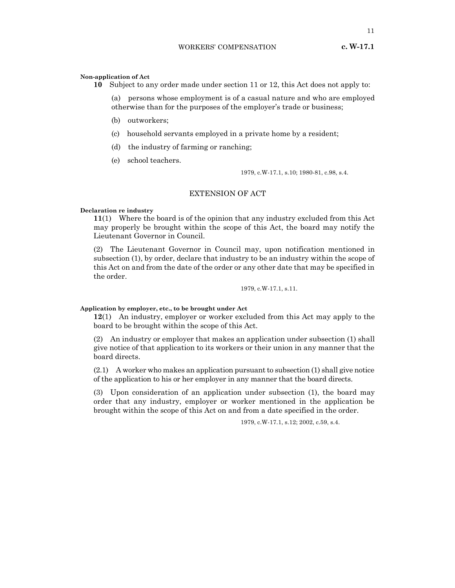11

**10** Subject to any order made under section 11 or 12, this Act does not apply to:

(a) persons whose employment is of a casual nature and who are employed otherwise than for the purposes of the employer's trade or business;

- (b) outworkers;
- (c) household servants employed in a private home by a resident;
- (d) the industry of farming or ranching;
- (e) school teachers.

1979, c.W-17.1, s.10; 1980-81, c.98, s.4.

## EXTENSION OF ACT

#### **Declaration re industry**

**11**(1) Where the board is of the opinion that any industry excluded from this Act may properly be brought within the scope of this Act, the board may notify the Lieutenant Governor in Council.

(2) The Lieutenant Governor in Council may, upon notification mentioned in subsection (1), by order, declare that industry to be an industry within the scope of this Act on and from the date of the order or any other date that may be specified in the order.

1979, c.W-17.1, s.11.

#### **Application by employer, etc., to be brought under Act**

**12**(1) An industry, employer or worker excluded from this Act may apply to the board to be brought within the scope of this Act.

(2) An industry or employer that makes an application under subsection (1) shall give notice of that application to its workers or their union in any manner that the board directs.

(2.1) A worker who makes an application pursuant to subsection (1) shall give notice of the application to his or her employer in any manner that the board directs.

(3) Upon consideration of an application under subsection (1), the board may order that any industry, employer or worker mentioned in the application be brought within the scope of this Act on and from a date specified in the order.

1979, c.W-17.1, s.12; 2002, c.59, s.4.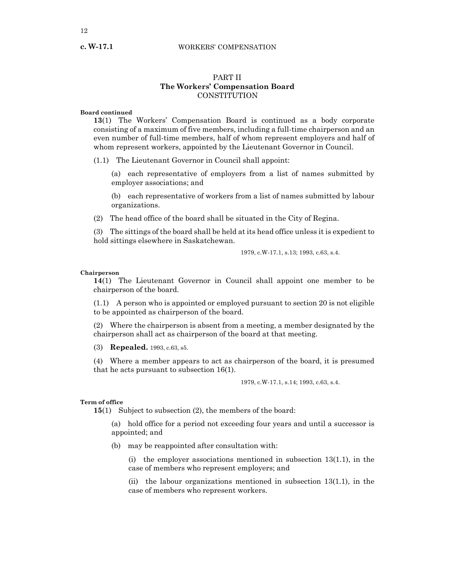#### WORKERS' COMPENSATION

## PART II **The Workers' Compensation Board CONSTITUTION**

## **Board continued**

**13**(1) The Workers' Compensation Board is continued as a body corporate consisting of a maximum of five members, including a full-time chairperson and an even number of full-time members, half of whom represent employers and half of whom represent workers, appointed by the Lieutenant Governor in Council.

(1.1) The Lieutenant Governor in Council shall appoint:

(a) each representative of employers from a list of names submitted by employer associations; and

(b) each representative of workers from a list of names submitted by labour organizations.

(2) The head office of the board shall be situated in the City of Regina.

(3) The sittings of the board shall be held at its head office unless it is expedient to hold sittings elsewhere in Saskatchewan.

1979, c.W-17.1, s.13; 1993, c.63, s.4.

## **Chairperson**

**14**(1) The Lieutenant Governor in Council shall appoint one member to be chairperson of the board.

(1.1) A person who is appointed or employed pursuant to section 20 is not eligible to be appointed as chairperson of the board.

(2) Where the chairperson is absent from a meeting, a member designated by the chairperson shall act as chairperson of the board at that meeting.

(3) **Repealed.** 1993, c.63, s5.

(4) Where a member appears to act as chairperson of the board, it is presumed that he acts pursuant to subsection 16(1).

1979, c.W-17.1, s.14; 1993, c.63, s.4.

#### **Term of office**

**15**(1) Subject to subsection (2), the members of the board:

(a) hold office for a period not exceeding four years and until a successor is appointed; and

(b) may be reappointed after consultation with:

(i) the employer associations mentioned in subsection  $13(1.1)$ , in the case of members who represent employers; and

(ii) the labour organizations mentioned in subsection  $13(1.1)$ , in the case of members who represent workers.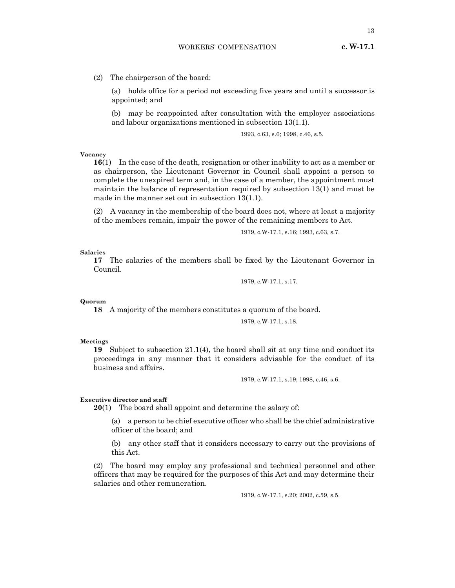(2) The chairperson of the board:

(a) holds office for a period not exceeding five years and until a successor is appointed; and

(b) may be reappointed after consultation with the employer associations and labour organizations mentioned in subsection 13(1.1).

1993, c.63, s.6; 1998, c.46, s.5.

#### **Vacancy**

**16**(1) In the case of the death, resignation or other inability to act as a member or as chairperson, the Lieutenant Governor in Council shall appoint a person to complete the unexpired term and, in the case of a member, the appointment must maintain the balance of representation required by subsection 13(1) and must be made in the manner set out in subsection 13(1.1).

(2) A vacancy in the membership of the board does not, where at least a majority of the members remain, impair the power of the remaining members to Act.

1979, c.W-17.1, s.16; 1993, c.63, s.7.

**Salaries**

**17** The salaries of the members shall be fixed by the Lieutenant Governor in Council.

1979, c.W-17.1, s.17.

**Quorum**

**18** A majority of the members constitutes a quorum of the board.

1979, c.W-17.1, s.18.

#### **Meetings**

**19** Subject to subsection 21.1(4), the board shall sit at any time and conduct its proceedings in any manner that it considers advisable for the conduct of its business and affairs.

1979, c.W-17.1, s.19; 1998, c.46, s.6.

#### **Executive director and staff**

**20**(1) The board shall appoint and determine the salary of:

(a) a person to be chief executive officer who shall be the chief administrative officer of the board; and

(b) any other staff that it considers necessary to carry out the provisions of this Act.

(2) The board may employ any professional and technical personnel and other officers that may be required for the purposes of this Act and may determine their salaries and other remuneration.

1979, c.W-17.1, s.20; 2002, c.59, s.5.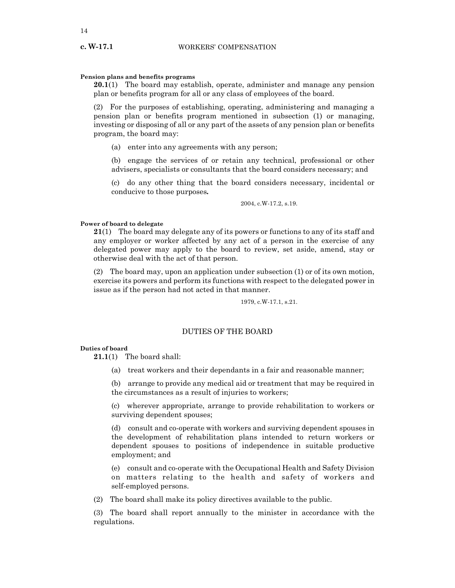## **Pension plans and benefits programs**

**20.1**(1) The board may establish, operate, administer and manage any pension plan or benefits program for all or any class of employees of the board.

(2) For the purposes of establishing, operating, administering and managing a pension plan or benefits program mentioned in subsection (1) or managing, investing or disposing of all or any part of the assets of any pension plan or benefits program, the board may:

(a) enter into any agreements with any person;

(b) engage the services of or retain any technical, professional or other advisers, specialists or consultants that the board considers necessary; and

(c) do any other thing that the board considers necessary, incidental or conducive to those purposes**.**

2004, c.W-17.2, s.19.

## **Power of board to delegate**

**21**(1) The board may delegate any of its powers or functions to any of its staff and any employer or worker affected by any act of a person in the exercise of any delegated power may apply to the board to review, set aside, amend, stay or otherwise deal with the act of that person.

(2) The board may, upon an application under subsection (1) or of its own motion, exercise its powers and perform its functions with respect to the delegated power in issue as if the person had not acted in that manner.

1979, c.W-17.1, s.21.

## DUTIES OF THE BOARD

#### **Duties of board**

**21.1**(1) The board shall:

(a) treat workers and their dependants in a fair and reasonable manner;

(b) arrange to provide any medical aid or treatment that may be required in the circumstances as a result of injuries to workers;

(c) wherever appropriate, arrange to provide rehabilitation to workers or surviving dependent spouses;

(d) consult and co-operate with workers and surviving dependent spouses in the development of rehabilitation plans intended to return workers or dependent spouses to positions of independence in suitable productive employment; and

(e) consult and co-operate with the Occupational Health and Safety Division on matters relating to the health and safety of workers and self-employed persons.

(2) The board shall make its policy directives available to the public.

(3) The board shall report annually to the minister in accordance with the regulations.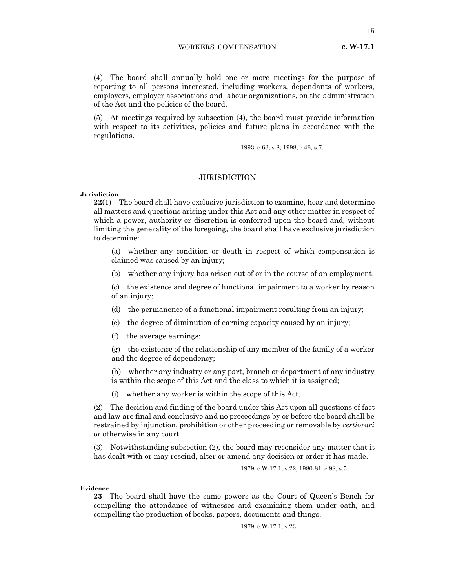(4) The board shall annually hold one or more meetings for the purpose of reporting to all persons interested, including workers, dependants of workers, employers, employer associations and labour organizations, on the administration of the Act and the policies of the board.

(5) At meetings required by subsection (4), the board must provide information with respect to its activities, policies and future plans in accordance with the regulations.

1993, c.63, s.8; 1998, c.46, s.7.

## JURISDICTION

#### **Jurisdiction**

**22**(1) The board shall have exclusive jurisdiction to examine, hear and determine all matters and questions arising under this Act and any other matter in respect of which a power, authority or discretion is conferred upon the board and, without limiting the generality of the foregoing, the board shall have exclusive jurisdiction to determine:

(a) whether any condition or death in respect of which compensation is claimed was caused by an injury;

(b) whether any injury has arisen out of or in the course of an employment;

(c) the existence and degree of functional impairment to a worker by reason of an injury;

- (d) the permanence of a functional impairment resulting from an injury;
- (e) the degree of diminution of earning capacity caused by an injury;
- (f) the average earnings;

(g) the existence of the relationship of any member of the family of a worker and the degree of dependency;

(h) whether any industry or any part, branch or department of any industry is within the scope of this Act and the class to which it is assigned;

(i) whether any worker is within the scope of this Act.

(2) The decision and finding of the board under this Act upon all questions of fact and law are final and conclusive and no proceedings by or before the board shall be restrained by injunction, prohibition or other proceeding or removable by *certiorari* or otherwise in any court.

(3) Notwithstanding subsection (2), the board may reconsider any matter that it has dealt with or may rescind, alter or amend any decision or order it has made.

1979, c.W-17.1, s.22; 1980-81, c.98, s.5.

**Evidence**

**23** The board shall have the same powers as the Court of Queen's Bench for compelling the attendance of witnesses and examining them under oath, and compelling the production of books, papers, documents and things.

1979, c.W-17.1, s.23.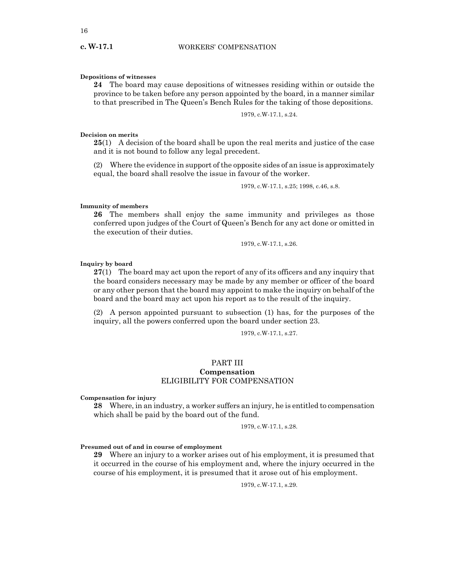## **Depositions of witnesses**

**24** The board may cause depositions of witnesses residing within or outside the province to be taken before any person appointed by the board, in a manner similar to that prescribed in The Queen's Bench Rules for the taking of those depositions.

## 1979, c.W-17.1, s.24.

## **Decision on merits**

**25**(1) A decision of the board shall be upon the real merits and justice of the case and it is not bound to follow any legal precedent.

(2) Where the evidence in support of the opposite sides of an issue is approximately equal, the board shall resolve the issue in favour of the worker.

1979, c.W-17.1, s.25; 1998, c.46, s.8.

## **Immunity of members**

**26** The members shall enjoy the same immunity and privileges as those conferred upon judges of the Court of Queen's Bench for any act done or omitted in the execution of their duties.

1979, c.W-17.1, s.26.

## **Inquiry by board**

**27**(1) The board may act upon the report of any of its officers and any inquiry that the board considers necessary may be made by any member or officer of the board or any other person that the board may appoint to make the inquiry on behalf of the board and the board may act upon his report as to the result of the inquiry.

(2) A person appointed pursuant to subsection (1) has, for the purposes of the inquiry, all the powers conferred upon the board under section 23.

1979, c.W-17.1, s.27.

## PART III **Compensation** ELIGIBILITY FOR COMPENSATION

#### **Compensation for injury**

**28** Where, in an industry, a worker suffers an injury, he is entitled to compensation which shall be paid by the board out of the fund.

1979, c.W-17.1, s.28.

## **Presumed out of and in course of employment**

**29** Where an injury to a worker arises out of his employment, it is presumed that it occurred in the course of his employment and, where the injury occurred in the course of his employment, it is presumed that it arose out of his employment.

1979, c.W-17.1, s.29.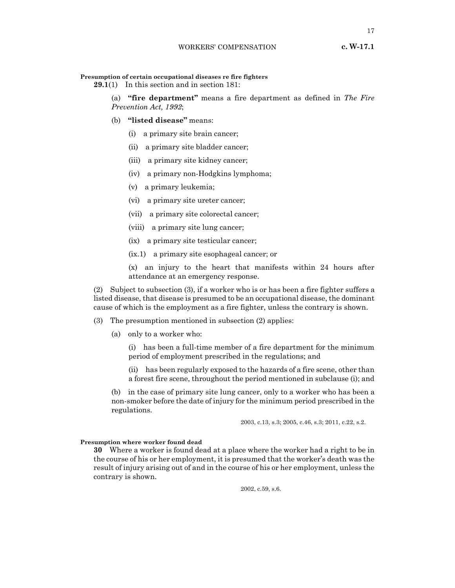#### **Presumption of certain occupational diseases re fire fighters**

**29.1**(1) In this section and in section 181:

(a) **"fire department"** means a fire department as defined in *The Fire Prevention Act, 1992*;

- (b) **"listed disease"** means:
	- (i) a primary site brain cancer;
	- (ii) a primary site bladder cancer;
	- (iii) a primary site kidney cancer;
	- (iv) a primary non-Hodgkins lymphoma;
	- (v) a primary leukemia;
	- (vi) a primary site ureter cancer;
	- (vii) a primary site colorectal cancer;
	- (viii) a primary site lung cancer;
	- (ix) a primary site testicular cancer;
	- (ix.1) a primary site esophageal cancer; or
	- (x) an injury to the heart that manifests within 24 hours after attendance at an emergency response.

(2) Subject to subsection (3), if a worker who is or has been a fire fighter suffers a listed disease, that disease is presumed to be an occupational disease, the dominant cause of which is the employment as a fire fighter, unless the contrary is shown.

(3) The presumption mentioned in subsection (2) applies:

(a) only to a worker who:

(i) has been a full-time member of a fire department for the minimum period of employment prescribed in the regulations; and

(ii) has been regularly exposed to the hazards of a fire scene, other than a forest fire scene, throughout the period mentioned in subclause (i); and

(b) in the case of primary site lung cancer, only to a worker who has been a non-smoker before the date of injury for the minimum period prescribed in the regulations.

2003, c.13, s.3; 2005, c.46, s.3; 2011, c.22, s.2.

## **Presumption where worker found dead**

**30** Where a worker is found dead at a place where the worker had a right to be in the course of his or her employment, it is presumed that the worker's death was the result of injury arising out of and in the course of his or her employment, unless the contrary is shown.

2002, c.59, s.6.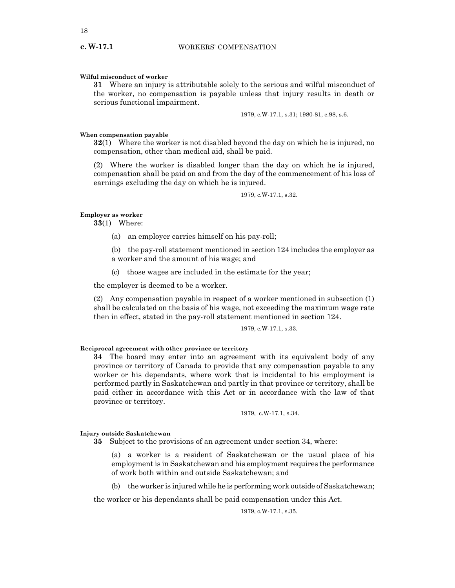## **Wilful misconduct of worker**

**31** Where an injury is attributable solely to the serious and wilful misconduct of the worker, no compensation is payable unless that injury results in death or serious functional impairment.

1979, c.W-17.1, s.31; 1980-81, c.98, s.6.

#### **When compensation payable**

**32**(1) Where the worker is not disabled beyond the day on which he is injured, no compensation, other than medical aid, shall be paid.

(2) Where the worker is disabled longer than the day on which he is injured, compensation shall be paid on and from the day of the commencement of his loss of earnings excluding the day on which he is injured.

1979, c.W-17.1, s.32.

## **Employer as worker**

**33**(1) Where:

(a) an employer carries himself on his pay-roll;

(b) the pay-roll statement mentioned in section 124 includes the employer as a worker and the amount of his wage; and

(c) those wages are included in the estimate for the year;

the employer is deemed to be a worker.

(2) Any compensation payable in respect of a worker mentioned in subsection (1) shall be calculated on the basis of his wage, not exceeding the maximum wage rate then in effect, stated in the pay-roll statement mentioned in section 124.

1979, c.W-17.1, s.33.

## **Reciprocal agreement with other province or territory**

**34** The board may enter into an agreement with its equivalent body of any province or territory of Canada to provide that any compensation payable to any worker or his dependants, where work that is incidental to his employment is performed partly in Saskatchewan and partly in that province or territory, shall be paid either in accordance with this Act or in accordance with the law of that province or territory.

1979, c.W-17.1, s.34.

#### **Injury outside Saskatchewan**

**35** Subject to the provisions of an agreement under section 34, where:

(a) a worker is a resident of Saskatchewan or the usual place of his employment is in Saskatchewan and his employment requires the performance of work both within and outside Saskatchewan; and

(b) the worker is injured while he is performing work outside of Saskatchewan;

the worker or his dependants shall be paid compensation under this Act.

1979, c.W-17.1, s.35.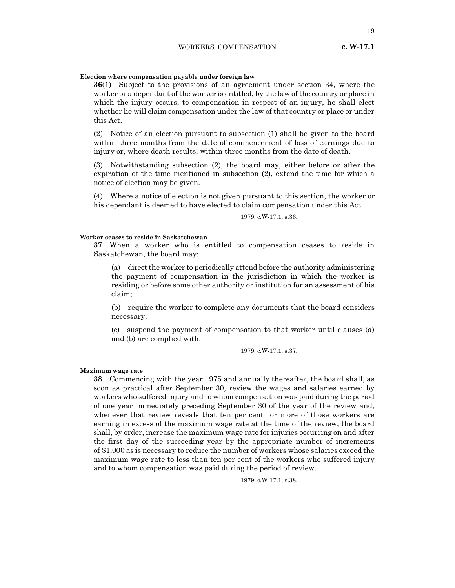## **Election where compensation payable under foreign law**

**36**(1) Subject to the provisions of an agreement under section 34, where the worker or a dependant of the worker is entitled, by the law of the country or place in which the injury occurs, to compensation in respect of an injury, he shall elect whether he will claim compensation under the law of that country or place or under this Act.

(2) Notice of an election pursuant to subsection (1) shall be given to the board within three months from the date of commencement of loss of earnings due to injury or, where death results, within three months from the date of death.

(3) Notwithstanding subsection (2), the board may, either before or after the expiration of the time mentioned in subsection (2), extend the time for which a notice of election may be given.

(4) Where a notice of election is not given pursuant to this section, the worker or his dependant is deemed to have elected to claim compensation under this Act.

## 1979, c.W-17.1, s.36.

#### **Worker ceases to reside in Saskatchewan**

**37** When a worker who is entitled to compensation ceases to reside in Saskatchewan, the board may:

(a) direct the worker to periodically attend before the authority administering the payment of compensation in the jurisdiction in which the worker is residing or before some other authority or institution for an assessment of his claim;

(b) require the worker to complete any documents that the board considers necessary;

(c) suspend the payment of compensation to that worker until clauses (a) and (b) are complied with.

1979, c.W-17.1, s.37.

#### **Maximum wage rate**

**38** Commencing with the year 1975 and annually thereafter, the board shall, as soon as practical after September 30, review the wages and salaries earned by workers who suffered injury and to whom compensation was paid during the period of one year immediately preceding September 30 of the year of the review and, whenever that review reveals that ten per cent or more of those workers are earning in excess of the maximum wage rate at the time of the review, the board shall, by order, increase the maximum wage rate for injuries occurring on and after the first day of the succeeding year by the appropriate number of increments of \$1,000 as is necessary to reduce the number of workers whose salaries exceed the maximum wage rate to less than ten per cent of the workers who suffered injury and to whom compensation was paid during the period of review.

1979, c.W-17.1, s.38.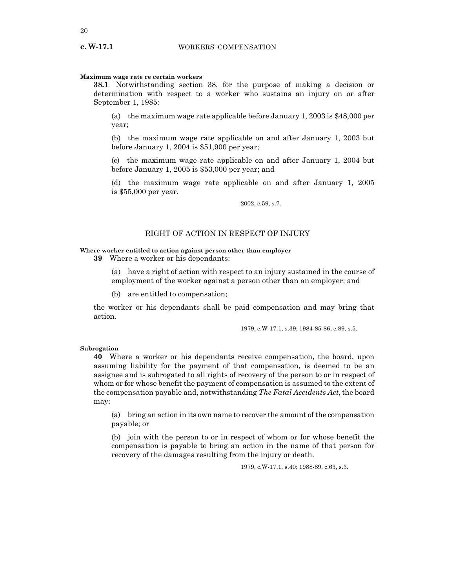## **Maximum wage rate re certain workers**

**38.1** Notwithstanding section 38, for the purpose of making a decision or determination with respect to a worker who sustains an injury on or after September 1, 1985:

(a) the maximum wage rate applicable before January 1, 2003 is \$48,000 per year;

(b) the maximum wage rate applicable on and after January 1, 2003 but before January 1, 2004 is \$51,900 per year;

(c) the maximum wage rate applicable on and after January 1, 2004 but before January 1, 2005 is \$53,000 per year; and

(d) the maximum wage rate applicable on and after January 1, 2005 is \$55,000 per year.

2002, c.59, s.7.

## RIGHT OF ACTION IN RESPECT OF INJURY

#### **Where worker entitled to action against person other than employer**

**39** Where a worker or his dependants:

(a) have a right of action with respect to an injury sustained in the course of employment of the worker against a person other than an employer; and

(b) are entitled to compensation;

the worker or his dependants shall be paid compensation and may bring that action.

1979, c.W-17.1, s.39; 1984-85-86, c.89, s.5.

## **Subrogation**

**40** Where a worker or his dependants receive compensation, the board, upon assuming liability for the payment of that compensation, is deemed to be an assignee and is subrogated to all rights of recovery of the person to or in respect of whom or for whose benefit the payment of compensation is assumed to the extent of the compensation payable and, notwithstanding *The Fatal Accidents Act*, the board may:

(a) bring an action in its own name to recover the amount of the compensation payable; or

(b) join with the person to or in respect of whom or for whose benefit the compensation is payable to bring an action in the name of that person for recovery of the damages resulting from the injury or death.

1979, c.W-17.1, s.40; 1988-89, c.63, s.3.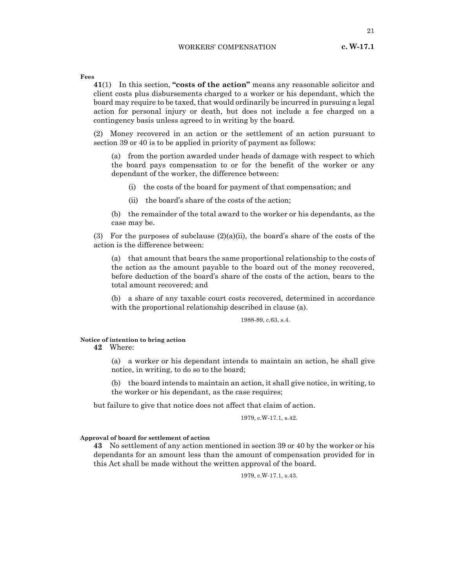21

**Fees**

**41**(1) In this section, **"costs of the action"** means any reasonable solicitor and client costs plus disbursements charged to a worker or his dependant, which the board may require to be taxed, that would ordinarily be incurred in pursuing a legal action for personal injury or death, but does not include a fee charged on a contingency basis unless agreed to in writing by the board.

(2) Money recovered in an action or the settlement of an action pursuant to section 39 or 40 is to be applied in priority of payment as follows:

(a) from the portion awarded under heads of damage with respect to which the board pays compensation to or for the benefit of the worker or any dependant of the worker, the difference between:

- (i) the costs of the board for payment of that compensation; and
- (ii) the board's share of the costs of the action;

(b) the remainder of the total award to the worker or his dependants, as the case may be.

(3) For the purposes of subclause  $(2)(a)(ii)$ , the board's share of the costs of the action is the difference between:

(a) that amount that bears the same proportional relationship to the costs of the action as the amount payable to the board out of the money recovered, before deduction of the board's share of the costs of the action, bears to the total amount recovered; and

(b) a share of any taxable court costs recovered, determined in accordance with the proportional relationship described in clause (a).

## 1988-89, c.63, s.4.

## **Notice of intention to bring action**

# **42** Where:

(a) a worker or his dependant intends to maintain an action, he shall give notice, in writing, to do so to the board;

(b) the board intends to maintain an action, it shall give notice, in writing, to the worker or his dependant, as the case requires;

but failure to give that notice does not affect that claim of action.

1979, c.W-17.1, s.42.

## **Approval of board for settlement of action**

**43** No settlement of any action mentioned in section 39 or 40 by the worker or his dependants for an amount less than the amount of compensation provided for in this Act shall be made without the written approval of the board.

1979, c.W-17.1, s.43.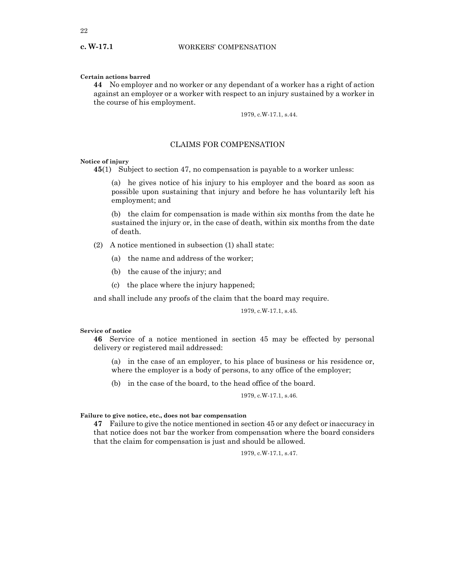#### **Certain actions barred**

**44** No employer and no worker or any dependant of a worker has a right of action against an employer or a worker with respect to an injury sustained by a worker in the course of his employment.

1979, c.W-17.1, s.44.

## CLAIMS FOR COMPENSATION

## **Notice of injury**

**45**(1) Subject to section 47, no compensation is payable to a worker unless:

(a) he gives notice of his injury to his employer and the board as soon as possible upon sustaining that injury and before he has voluntarily left his employment; and

(b) the claim for compensation is made within six months from the date he sustained the injury or, in the case of death, within six months from the date of death.

- (2) A notice mentioned in subsection (1) shall state:
	- (a) the name and address of the worker;
	- (b) the cause of the injury; and
	- (c) the place where the injury happened;

and shall include any proofs of the claim that the board may require.

1979, c.W-17.1, s.45.

#### **Service of notice**

**46** Service of a notice mentioned in section 45 may be effected by personal delivery or registered mail addressed:

(a) in the case of an employer, to his place of business or his residence or, where the employer is a body of persons, to any office of the employer;

(b) in the case of the board, to the head office of the board.

1979, c.W-17.1, s.46.

**Failure to give notice, etc., does not bar compensation**

**47** Failure to give the notice mentioned in section 45 or any defect or inaccuracy in that notice does not bar the worker from compensation where the board considers that the claim for compensation is just and should be allowed.

1979, c.W-17.1, s.47.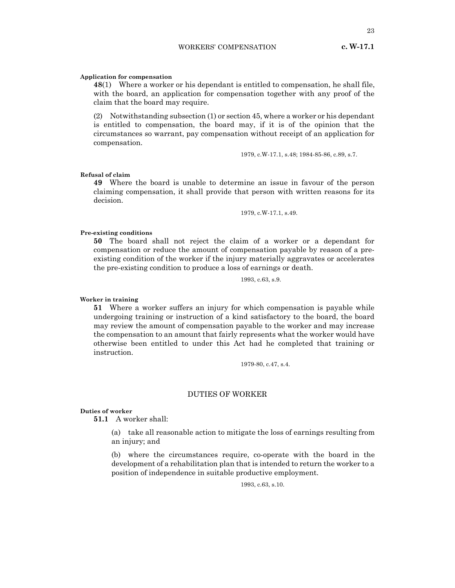**Application for compensation**

**48**(1) Where a worker or his dependant is entitled to compensation, he shall file, with the board, an application for compensation together with any proof of the claim that the board may require.

(2) Notwithstanding subsection (1) or section 45, where a worker or his dependant is entitled to compensation, the board may, if it is of the opinion that the circumstances so warrant, pay compensation without receipt of an application for compensation.

1979, c.W-17.1, s.48; 1984-85-86, c.89, s.7.

## **Refusal of claim**

**49** Where the board is unable to determine an issue in favour of the person claiming compensation, it shall provide that person with written reasons for its decision.

1979, c.W-17.1, s.49.

## **Pre-existing conditions**

**50** The board shall not reject the claim of a worker or a dependant for compensation or reduce the amount of compensation payable by reason of a preexisting condition of the worker if the injury materially aggravates or accelerates the pre-existing condition to produce a loss of earnings or death.

1993, c.63, s.9.

#### **Worker in training**

**51** Where a worker suffers an injury for which compensation is payable while undergoing training or instruction of a kind satisfactory to the board, the board may review the amount of compensation payable to the worker and may increase the compensation to an amount that fairly represents what the worker would have otherwise been entitled to under this Act had he completed that training or instruction.

1979-80, c.47, s.4.

## DUTIES OF WORKER

## **Duties of worker**

**51.1** A worker shall:

(a) take all reasonable action to mitigate the loss of earnings resulting from an injury; and

(b) where the circumstances require, co-operate with the board in the development of a rehabilitation plan that is intended to return the worker to a position of independence in suitable productive employment.

1993, c.63, s.10.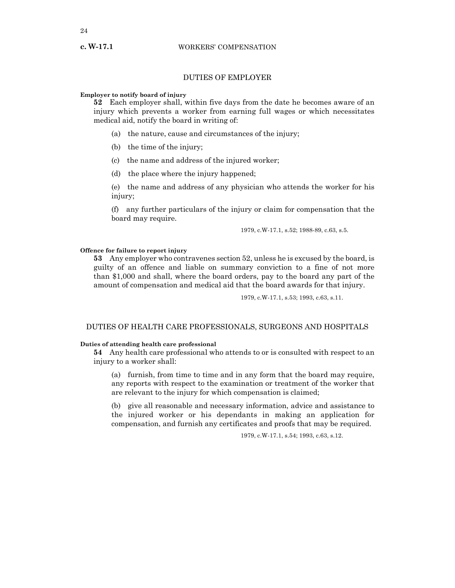# DUTIES OF EMPLOYER

## **Employer to notify board of injury**

**52** Each employer shall, within five days from the date he becomes aware of an injury which prevents a worker from earning full wages or which necessitates medical aid, notify the board in writing of:

- (a) the nature, cause and circumstances of the injury;
- (b) the time of the injury;
- (c) the name and address of the injured worker;
- (d) the place where the injury happened;

(e) the name and address of any physician who attends the worker for his injury;

(f) any further particulars of the injury or claim for compensation that the board may require.

1979, c.W-17.1, s.52; 1988-89, c.63, s.5.

#### **Offence for failure to report injury**

**53** Any employer who contravenes section 52, unless he is excused by the board, is guilty of an offence and liable on summary conviction to a fine of not more than \$1,000 and shall, where the board orders, pay to the board any part of the amount of compensation and medical aid that the board awards for that injury.

1979, c.W-17.1, s.53; 1993, c.63, s.11.

## DUTIES OF HEALTH CARE PROFESSIONALS, SURGEONS AND HOSPITALS

## **Duties of attending health care professional**

**54** Any health care professional who attends to or is consulted with respect to an injury to a worker shall:

(a) furnish, from time to time and in any form that the board may require, any reports with respect to the examination or treatment of the worker that are relevant to the injury for which compensation is claimed;

(b) give all reasonable and necessary information, advice and assistance to the injured worker or his dependants in making an application for compensation, and furnish any certificates and proofs that may be required.

1979, c.W-17.1, s.54; 1993, c.63, s.12.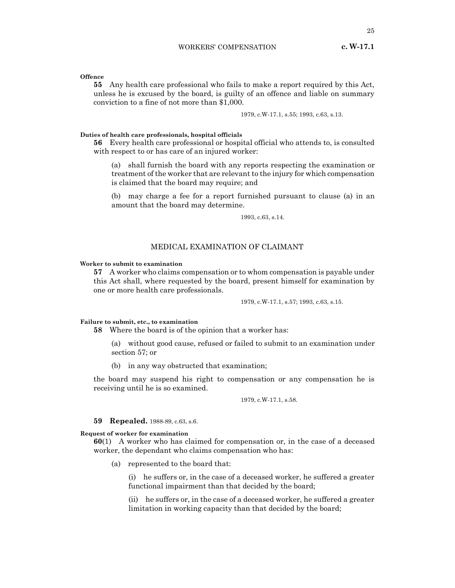## WORKERS' COMPENSATION

**Offence**

**55** Any health care professional who fails to make a report required by this Act, unless he is excused by the board, is guilty of an offence and liable on summary conviction to a fine of not more than \$1,000.

1979, c.W-17.1, s.55; 1993, c.63, s.13.

## **Duties of health care professionals, hospital officials**

**56** Every health care professional or hospital official who attends to, is consulted with respect to or has care of an injured worker:

(a) shall furnish the board with any reports respecting the examination or treatment of the worker that are relevant to the injury for which compensation is claimed that the board may require; and

(b) may charge a fee for a report furnished pursuant to clause (a) in an amount that the board may determine.

1993, c.63, s.14.

## MEDICAL EXAMINATION OF CLAIMANT

## **Worker to submit to examination**

**57** A worker who claims compensation or to whom compensation is payable under this Act shall, where requested by the board, present himself for examination by one or more health care professionals.

1979, c.W-17.1, s.57; 1993, c.63, s.15.

## **Failure to submit, etc., to examination**

**58** Where the board is of the opinion that a worker has:

(a) without good cause, refused or failed to submit to an examination under section 57; or

(b) in any way obstructed that examination;

the board may suspend his right to compensation or any compensation he is receiving until he is so examined.

1979, c.W-17.1, s.58.

## **59 Repealed.** 1988-89, c.63, s.6.

#### **Request of worker for examination**

**60**(1) A worker who has claimed for compensation or, in the case of a deceased worker, the dependant who claims compensation who has:

(a) represented to the board that:

(i) he suffers or, in the case of a deceased worker, he suffered a greater functional impairment than that decided by the board;

(ii) he suffers or, in the case of a deceased worker, he suffered a greater limitation in working capacity than that decided by the board;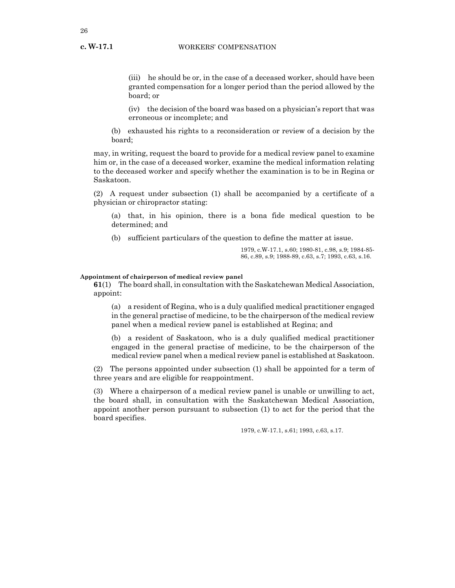**c. W-17.1**

(iii) he should be or, in the case of a deceased worker, should have been granted compensation for a longer period than the period allowed by the board; or

(iv) the decision of the board was based on a physician's report that was erroneous or incomplete; and

(b) exhausted his rights to a reconsideration or review of a decision by the board;

may, in writing, request the board to provide for a medical review panel to examine him or, in the case of a deceased worker, examine the medical information relating to the deceased worker and specify whether the examination is to be in Regina or Saskatoon.

(2) A request under subsection (1) shall be accompanied by a certificate of a physician or chiropractor stating:

(a) that, in his opinion, there is a bona fide medical question to be determined; and

(b) sufficient particulars of the question to define the matter at issue.

1979, c.W-17.1, s.60; 1980-81, c.98, s.9; 1984-85- 86, c.89, s.9; 1988-89, c.63, s.7; 1993, c.63, s.16.

## **Appointment of chairperson of medical review panel**

**61**(1) The board shall, in consultation with the Saskatchewan Medical Association, appoint:

(a) a resident of Regina, who is a duly qualified medical practitioner engaged in the general practise of medicine, to be the chairperson of the medical review panel when a medical review panel is established at Regina; and

(b) a resident of Saskatoon, who is a duly qualified medical practitioner engaged in the general practise of medicine, to be the chairperson of the medical review panel when a medical review panel is established at Saskatoon.

(2) The persons appointed under subsection (1) shall be appointed for a term of three years and are eligible for reappointment.

(3) Where a chairperson of a medical review panel is unable or unwilling to act, the board shall, in consultation with the Saskatchewan Medical Association, appoint another person pursuant to subsection (1) to act for the period that the board specifies.

1979, c.W-17.1, s.61; 1993, c.63, s.17.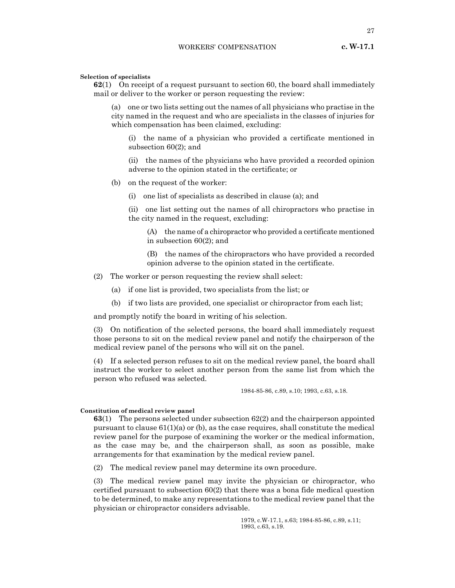#### **Selection of specialists**

**62**(1) On receipt of a request pursuant to section 60, the board shall immediately mail or deliver to the worker or person requesting the review:

(a) one or two lists setting out the names of all physicians who practise in the city named in the request and who are specialists in the classes of injuries for which compensation has been claimed, excluding:

(i) the name of a physician who provided a certificate mentioned in subsection 60(2); and

(ii) the names of the physicians who have provided a recorded opinion adverse to the opinion stated in the certificate; or

- (b) on the request of the worker:
	- (i) one list of specialists as described in clause (a); and
	- (ii) one list setting out the names of all chiropractors who practise in the city named in the request, excluding:
		- (A) the name of a chiropractor who provided a certificate mentioned in subsection 60(2); and
		- (B) the names of the chiropractors who have provided a recorded opinion adverse to the opinion stated in the certificate.
- (2) The worker or person requesting the review shall select:
	- (a) if one list is provided, two specialists from the list; or
	- (b) if two lists are provided, one specialist or chiropractor from each list;

and promptly notify the board in writing of his selection.

(3) On notification of the selected persons, the board shall immediately request those persons to sit on the medical review panel and notify the chairperson of the medical review panel of the persons who will sit on the panel.

(4) If a selected person refuses to sit on the medical review panel, the board shall instruct the worker to select another person from the same list from which the person who refused was selected.

1984-85-86, c.89, s.10; 1993, c.63, s.18.

#### **Constitution of medical review panel**

**63**(1) The persons selected under subsection 62(2) and the chairperson appointed pursuant to clause  $61(1)(a)$  or  $(b)$ , as the case requires, shall constitute the medical review panel for the purpose of examining the worker or the medical information, as the case may be, and the chairperson shall, as soon as possible, make arrangements for that examination by the medical review panel.

(2) The medical review panel may determine its own procedure.

(3) The medical review panel may invite the physician or chiropractor, who certified pursuant to subsection 60(2) that there was a bona fide medical question to be determined, to make any representations to the medical review panel that the physician or chiropractor considers advisable.

> 1979, c.W-17.1, s.63; 1984-85-86, c.89, s.11; 1993, c.63, s.19.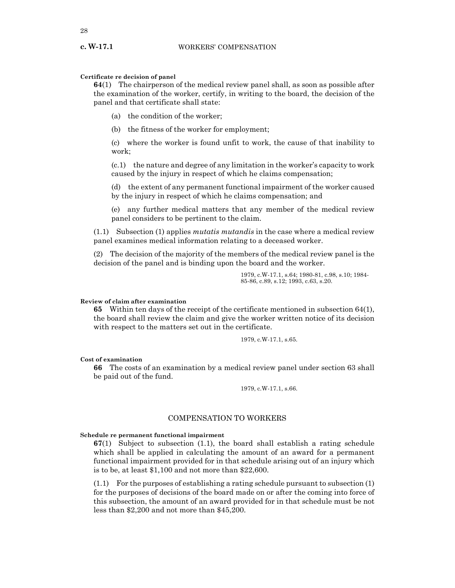## **Certificate re decision of panel**

**64**(1) The chairperson of the medical review panel shall, as soon as possible after the examination of the worker, certify, in writing to the board, the decision of the panel and that certificate shall state:

- (a) the condition of the worker;
- (b) the fitness of the worker for employment;

(c) where the worker is found unfit to work, the cause of that inability to work;

(c.1) the nature and degree of any limitation in the worker's capacity to work caused by the injury in respect of which he claims compensation;

(d) the extent of any permanent functional impairment of the worker caused by the injury in respect of which he claims compensation; and

(e) any further medical matters that any member of the medical review panel considers to be pertinent to the claim.

(1.1) Subsection (1) applies *mutatis mutandis* in the case where a medical review panel examines medical information relating to a deceased worker.

(2) The decision of the majority of the members of the medical review panel is the decision of the panel and is binding upon the board and the worker.

> 1979, c.W-17.1, s.64; 1980-81, c.98, s.10; 1984- 85-86, c.89, s.12; 1993, c.63, s.20.

## **Review of claim after examination**

**65** Within ten days of the receipt of the certificate mentioned in subsection 64(1), the board shall review the claim and give the worker written notice of its decision with respect to the matters set out in the certificate.

1979, c.W-17.1, s.65.

## **Cost of examination**

**66** The costs of an examination by a medical review panel under section 63 shall be paid out of the fund.

1979, c.W-17.1, s.66.

## COMPENSATION TO WORKERS

#### **Schedule re permanent functional impairment**

**67**(1) Subject to subsection (1.1), the board shall establish a rating schedule which shall be applied in calculating the amount of an award for a permanent functional impairment provided for in that schedule arising out of an injury which is to be, at least \$1,100 and not more than \$22,600.

(1.1) For the purposes of establishing a rating schedule pursuant to subsection (1) for the purposes of decisions of the board made on or after the coming into force of this subsection, the amount of an award provided for in that schedule must be not less than \$2,200 and not more than \$45,200.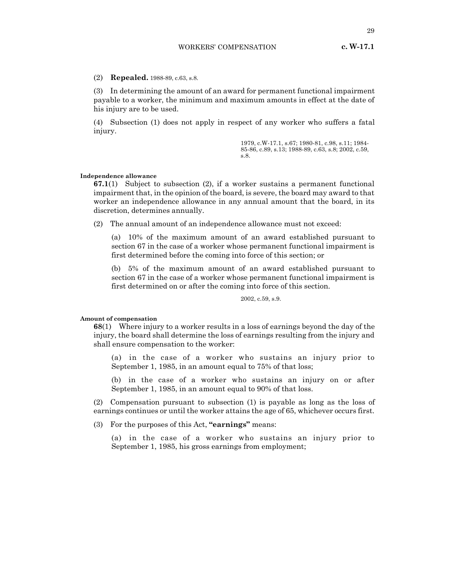(2) **Repealed.** 1988-89, c.63, s.8.

(3) In determining the amount of an award for permanent functional impairment payable to a worker, the minimum and maximum amounts in effect at the date of his injury are to be used.

(4) Subsection (1) does not apply in respect of any worker who suffers a fatal injury.

> 1979, c.W-17.1, s.67; 1980-81, c.98, s.11; 1984- 85-86, c.89, s.13; 1988-89, c.63, s.8; 2002, c.59, s.8.

#### **Independence allowance**

**67.1**(1) Subject to subsection (2), if a worker sustains a permanent functional impairment that, in the opinion of the board, is severe, the board may award to that worker an independence allowance in any annual amount that the board, in its discretion, determines annually.

(2) The annual amount of an independence allowance must not exceed:

(a) 10% of the maximum amount of an award established pursuant to section 67 in the case of a worker whose permanent functional impairment is first determined before the coming into force of this section; or

(b) 5% of the maximum amount of an award established pursuant to section 67 in the case of a worker whose permanent functional impairment is first determined on or after the coming into force of this section.

2002, c.59, s.9.

#### **Amount of compensation**

**68**(1) Where injury to a worker results in a loss of earnings beyond the day of the injury, the board shall determine the loss of earnings resulting from the injury and shall ensure compensation to the worker:

(a) in the case of a worker who sustains an injury prior to September 1, 1985, in an amount equal to 75% of that loss;

(b) in the case of a worker who sustains an injury on or after September 1, 1985, in an amount equal to 90% of that loss.

(2) Compensation pursuant to subsection (1) is payable as long as the loss of earnings continues or until the worker attains the age of 65, whichever occurs first.

(3) For the purposes of this Act, **"earnings"** means:

(a) in the case of a worker who sustains an injury prior to September 1, 1985, his gross earnings from employment;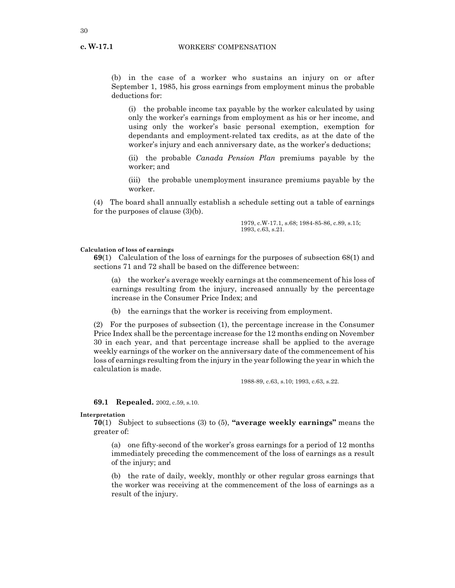**c. W-17.1**

(b) in the case of a worker who sustains an injury on or after September 1, 1985, his gross earnings from employment minus the probable deductions for:

(i) the probable income tax payable by the worker calculated by using only the worker's earnings from employment as his or her income, and using only the worker's basic personal exemption, exemption for dependants and employment-related tax credits, as at the date of the worker's injury and each anniversary date, as the worker's deductions;

(ii) the probable *Canada Pension Plan* premiums payable by the worker; and

(iii) the probable unemployment insurance premiums payable by the worker.

(4) The board shall annually establish a schedule setting out a table of earnings for the purposes of clause (3)(b).

> 1979, c.W-17.1, s.68; 1984-85-86, c.89, s.15; 1993, c.63, s.21.

#### **Calculation of loss of earnings**

**69**(1) Calculation of the loss of earnings for the purposes of subsection 68(1) and sections 71 and 72 shall be based on the difference between:

(a) the worker's average weekly earnings at the commencement of his loss of earnings resulting from the injury, increased annually by the percentage increase in the Consumer Price Index; and

(b) the earnings that the worker is receiving from employment.

(2) For the purposes of subsection (1), the percentage increase in the Consumer Price Index shall be the percentage increase for the 12 months ending on November 30 in each year, and that percentage increase shall be applied to the average weekly earnings of the worker on the anniversary date of the commencement of his loss of earnings resulting from the injury in the year following the year in which the calculation is made.

1988-89, c.63, s.10; 1993, c.63, s.22.

#### **69.1 Repealed.** 2002, c.59, s.10.

**Interpretation**

**70**(1) Subject to subsections (3) to (5), **"average weekly earnings"** means the greater of:

(a) one fifty-second of the worker's gross earnings for a period of 12 months immediately preceding the commencement of the loss of earnings as a result of the injury; and

(b) the rate of daily, weekly, monthly or other regular gross earnings that the worker was receiving at the commencement of the loss of earnings as a result of the injury.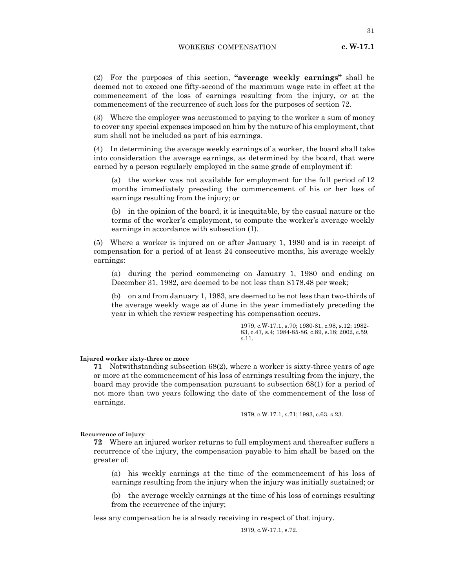31

(2) For the purposes of this section, **"average weekly earnings"** shall be deemed not to exceed one fifty-second of the maximum wage rate in effect at the commencement of the loss of earnings resulting from the injury, or at the commencement of the recurrence of such loss for the purposes of section 72.

(3) Where the employer was accustomed to paying to the worker a sum of money to cover any special expenses imposed on him by the nature of his employment, that sum shall not be included as part of his earnings.

(4) In determining the average weekly earnings of a worker, the board shall take into consideration the average earnings, as determined by the board, that were earned by a person regularly employed in the same grade of employment if:

(a) the worker was not available for employment for the full period of 12 months immediately preceding the commencement of his or her loss of earnings resulting from the injury; or

(b) in the opinion of the board, it is inequitable, by the casual nature or the terms of the worker's employment, to compute the worker's average weekly earnings in accordance with subsection (1).

(5) Where a worker is injured on or after January 1, 1980 and is in receipt of compensation for a period of at least 24 consecutive months, his average weekly earnings:

(a) during the period commencing on January 1, 1980 and ending on December 31, 1982, are deemed to be not less than \$178.48 per week;

(b) on and from January 1, 1983, are deemed to be not less than two-thirds of the average weekly wage as of June in the year immediately preceding the year in which the review respecting his compensation occurs.

> 1979, c.W-17.1, s.70; 1980-81, c.98, s.12; 1982- 83, c.47, s.4; 1984-85-86, c.89, s.18; 2002, c.59, s.11.

## **Injured worker sixty-three or more**

**71** Notwithstanding subsection 68(2), where a worker is sixty-three years of age or more at the commencement of his loss of earnings resulting from the injury, the board may provide the compensation pursuant to subsection 68(1) for a period of not more than two years following the date of the commencement of the loss of earnings.

1979, c.W-17.1, s.71; 1993, c.63, s.23.

#### **Recurrence of injury**

**72** Where an injured worker returns to full employment and thereafter suffers a recurrence of the injury, the compensation payable to him shall be based on the greater of:

(a) his weekly earnings at the time of the commencement of his loss of earnings resulting from the injury when the injury was initially sustained; or

(b) the average weekly earnings at the time of his loss of earnings resulting from the recurrence of the injury;

less any compensation he is already receiving in respect of that injury.

1979, c.W-17.1, s.72.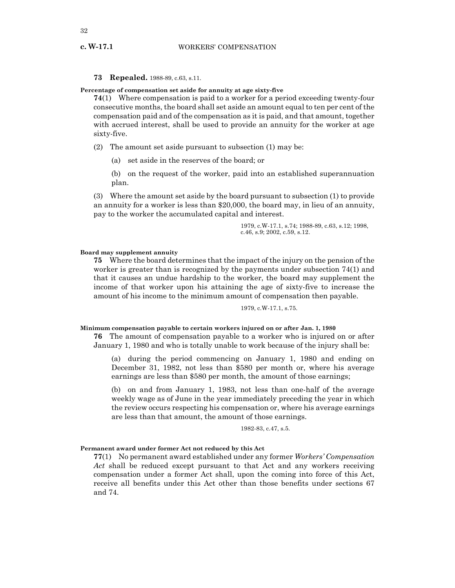**c. W-17.1**

**73 Repealed.** 1988-89, c.63, s.11.

**Percentage of compensation set aside for annuity at age sixty-five**

**74**(1) Where compensation is paid to a worker for a period exceeding twenty-four consecutive months, the board shall set aside an amount equal to ten per cent of the compensation paid and of the compensation as it is paid, and that amount, together with accrued interest, shall be used to provide an annuity for the worker at age sixty-five.

(2) The amount set aside pursuant to subsection (1) may be:

(a) set aside in the reserves of the board; or

(b) on the request of the worker, paid into an established superannuation plan.

(3) Where the amount set aside by the board pursuant to subsection (1) to provide an annuity for a worker is less than \$20,000, the board may, in lieu of an annuity, pay to the worker the accumulated capital and interest.

> 1979, c.W-17.1, s.74; 1988-89, c.63, s.12; 1998, c.46, s.9; 2002, c.59, s.12.

## **Board may supplement annuity**

**75** Where the board determines that the impact of the injury on the pension of the worker is greater than is recognized by the payments under subsection 74(1) and that it causes an undue hardship to the worker, the board may supplement the income of that worker upon his attaining the age of sixty-five to increase the amount of his income to the minimum amount of compensation then payable.

1979, c.W-17.1, s.75.

#### **Minimum compensation payable to certain workers injured on or after Jan. 1, 1980**

**76** The amount of compensation payable to a worker who is injured on or after January 1, 1980 and who is totally unable to work because of the injury shall be:

(a) during the period commencing on January 1, 1980 and ending on December 31, 1982, not less than \$580 per month or, where his average earnings are less than \$580 per month, the amount of those earnings;

(b) on and from January 1, 1983, not less than one-half of the average weekly wage as of June in the year immediately preceding the year in which the review occurs respecting his compensation or, where his average earnings are less than that amount, the amount of those earnings.

1982-83, c.47, s.5.

## **Permanent award under former Act not reduced by this Act**

**77**(1) No permanent award established under any former *Workers' Compensation Act* shall be reduced except pursuant to that Act and any workers receiving compensation under a former Act shall, upon the coming into force of this Act, receive all benefits under this Act other than those benefits under sections 67 and 74.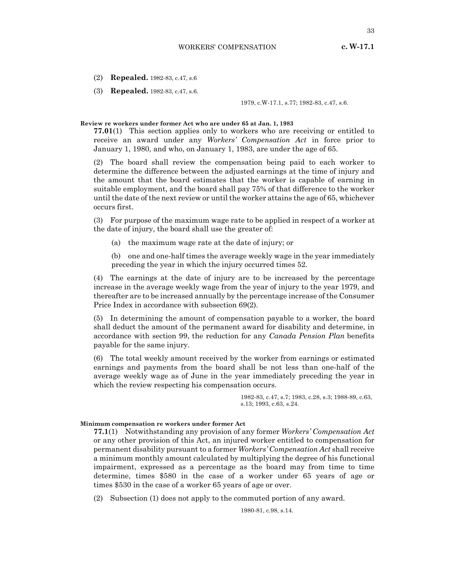33

(2) **Repealed.** 1982-83, c.47, s.6

(3) **Repealed.** 1982-83, c.47, s.6.

1979, c.W-17.1, s.77; 1982-83, c.47, s.6.

#### **Review re workers under former Act who are under 65 at Jan. 1, 1983**

**77.01**(1) This section applies only to workers who are receiving or entitled to receive an award under any *Workers' Compensation Act* in force prior to January 1, 1980, and who, on January 1, 1983, are under the age of 65.

(2) The board shall review the compensation being paid to each worker to determine the difference between the adjusted earnings at the time of injury and the amount that the board estimates that the worker is capable of earning in suitable employment, and the board shall pay 75% of that difference to the worker until the date of the next review or until the worker attains the age of 65, whichever occurs first.

(3) For purpose of the maximum wage rate to be applied in respect of a worker at the date of injury, the board shall use the greater of:

(a) the maximum wage rate at the date of injury; or

(b) one and one-half times the average weekly wage in the year immediately preceding the year in which the injury occurred times 52.

(4) The earnings at the date of injury are to be increased by the percentage increase in the average weekly wage from the year of injury to the year 1979, and thereafter are to be increased annually by the percentage increase of the Consumer Price Index in accordance with subsection 69(2).

(5) In determining the amount of compensation payable to a worker, the board shall deduct the amount of the permanent award for disability and determine, in accordance with section 99, the reduction for any *Canada Pension Plan* benefits payable for the same injury.

(6) The total weekly amount received by the worker from earnings or estimated earnings and payments from the board shall be not less than one-half of the average weekly wage as of June in the year immediately preceding the year in which the review respecting his compensation occurs.

> 1982-83, c.47, s.7; 1983, c.28, s.3; 1988-89, c.63, s.13; 1993, c.63, s.24.

## **Minimum compensation re workers under former Act**

**77.1**(1) Notwithstanding any provision of any former *Workers' Compensation Act* or any other provision of this Act, an injured worker entitled to compensation for permanent disability pursuant to a former *Workers' Compensation Act* shall receive a minimum monthly amount calculated by multiplying the degree of his functional impairment, expressed as a percentage as the board may from time to time determine, times \$580 in the case of a worker under 65 years of age or times \$530 in the case of a worker 65 years of age or over.

(2) Subsection (1) does not apply to the commuted portion of any award.

1980-81, c.98, s.14.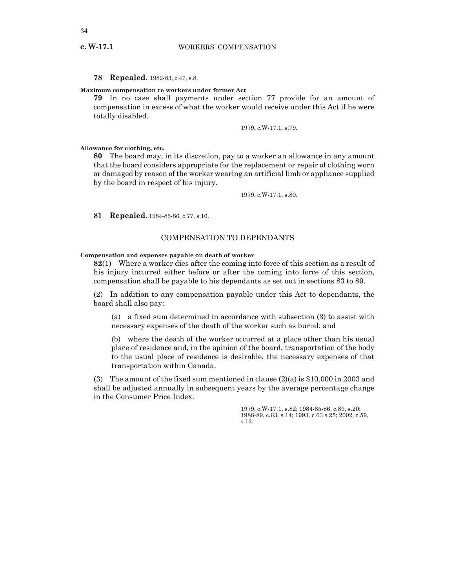## **78 Repealed.** 1982-83, c.47, s.8.

## **Maximum compensation re workers under former Act**

**79** In no case shall payments under section 77 provide for an amount of compensation in excess of what the worker would receive under this Act if he were totally disabled.

1979, c.W-17.1, s.79.

**Allowance for clothing, etc.**

**80** The board may, in its discretion, pay to a worker an allowance in any amount that the board considers appropriate for the replacement or repair of clothing worn or damaged by reason of the worker wearing an artificial limb or appliance supplied by the board in respect of his injury.

1979, c.W-17.1, s.80.

**81 Repealed.** 1984-85-86, c.77, s.16.

## COMPENSATION TO DEPENDANTS

## **Compensation and expenses payable on death of worker**

**82**(1) Where a worker dies after the coming into force of this section as a result of his injury incurred either before or after the coming into force of this section, compensation shall be payable to his dependants as set out in sections 83 to 89.

(2) In addition to any compensation payable under this Act to dependants, the board shall also pay:

(a) a fixed sum determined in accordance with subsection (3) to assist with necessary expenses of the death of the worker such as burial; and

(b) where the death of the worker occurred at a place other than his usual place of residence and, in the opinion of the board, transportation of the body to the usual place of residence is desirable, the necessary expenses of that transportation within Canada.

(3) The amount of the fixed sum mentioned in clause (2)(a) is \$10,000 in 2003 and shall be adjusted annually in subsequent years by the average percentage change in the Consumer Price Index.

> 1979, c.W-17.1, s.82; 1984-85-86, c.89, s.20; 1988-89, c.63, s.14; 1993, c.63 s.25; 2002, c.59, s.13.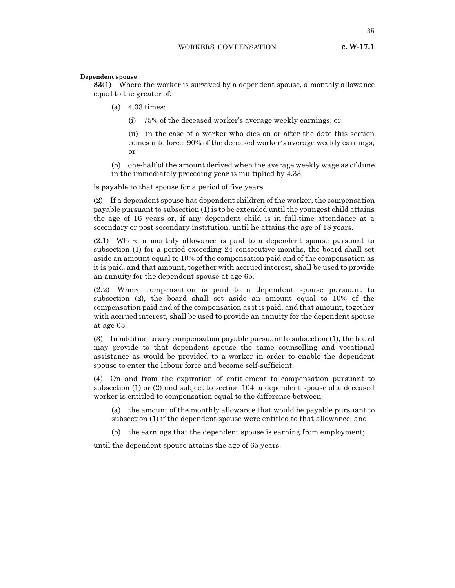## **Dependent spouse**

**83**(1) Where the worker is survived by a dependent spouse, a monthly allowance equal to the greater of:

- (a) 4.33 times:
	- (i) 75% of the deceased worker's average weekly earnings; or

(ii) in the case of a worker who dies on or after the date this section comes into force, 90% of the deceased worker's average weekly earnings; or

(b) one-half of the amount derived when the average weekly wage as of June in the immediately preceding year is multiplied by 4.33;

is payable to that spouse for a period of five years.

(2) If a dependent spouse has dependent children of the worker, the compensation payable pursuant to subsection (1) is to be extended until the youngest child attains the age of 16 years or, if any dependent child is in full-time attendance at a secondary or post secondary institution, until he attains the age of 18 years.

(2.1) Where a monthly allowance is paid to a dependent spouse pursuant to subsection (1) for a period exceeding 24 consecutive months, the board shall set aside an amount equal to 10% of the compensation paid and of the compensation as it is paid, and that amount, together with accrued interest, shall be used to provide an annuity for the dependent spouse at age 65.

(2.2) Where compensation is paid to a dependent spouse pursuant to subsection (2), the board shall set aside an amount equal to 10% of the compensation paid and of the compensation as it is paid, and that amount, together with accrued interest, shall be used to provide an annuity for the dependent spouse at age 65.

(3) In addition to any compensation payable pursuant to subsection (1), the board may provide to that dependent spouse the same counselling and vocational assistance as would be provided to a worker in order to enable the dependent spouse to enter the labour force and become self-sufficient.

(4) On and from the expiration of entitlement to compensation pursuant to subsection (1) or (2) and subject to section 104, a dependent spouse of a deceased worker is entitled to compensation equal to the difference between:

(a) the amount of the monthly allowance that would be payable pursuant to subsection (1) if the dependent spouse were entitled to that allowance; and

(b) the earnings that the dependent spouse is earning from employment;

until the dependent spouse attains the age of 65 years.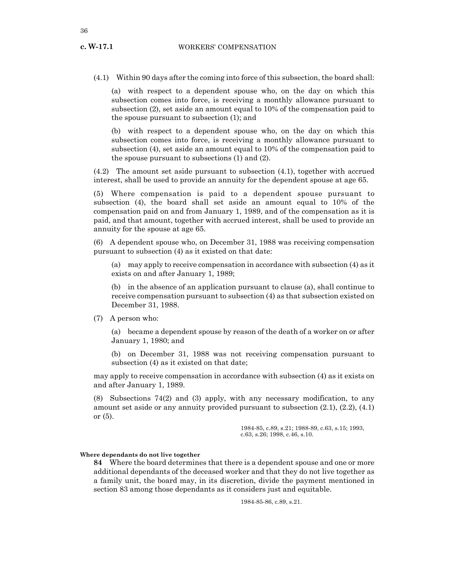(4.1) Within 90 days after the coming into force of this subsection, the board shall:

(a) with respect to a dependent spouse who, on the day on which this subsection comes into force, is receiving a monthly allowance pursuant to subsection (2), set aside an amount equal to 10% of the compensation paid to the spouse pursuant to subsection (1); and

(b) with respect to a dependent spouse who, on the day on which this subsection comes into force, is receiving a monthly allowance pursuant to subsection (4), set aside an amount equal to 10% of the compensation paid to the spouse pursuant to subsections (1) and (2).

(4.2) The amount set aside pursuant to subsection (4.1), together with accrued interest, shall be used to provide an annuity for the dependent spouse at age 65.

(5) Where compensation is paid to a dependent spouse pursuant to subsection (4), the board shall set aside an amount equal to 10% of the compensation paid on and from January 1, 1989, and of the compensation as it is paid, and that amount, together with accrued interest, shall be used to provide an annuity for the spouse at age 65.

(6) A dependent spouse who, on December 31, 1988 was receiving compensation pursuant to subsection (4) as it existed on that date:

(a) may apply to receive compensation in accordance with subsection (4) as it exists on and after January 1, 1989;

(b) in the absence of an application pursuant to clause (a), shall continue to receive compensation pursuant to subsection (4) as that subsection existed on December 31, 1988.

(7) A person who:

(a) became a dependent spouse by reason of the death of a worker on or after January 1, 1980; and

(b) on December 31, 1988 was not receiving compensation pursuant to subsection (4) as it existed on that date;

may apply to receive compensation in accordance with subsection (4) as it exists on and after January 1, 1989.

(8) Subsections 74(2) and (3) apply, with any necessary modification, to any amount set aside or any annuity provided pursuant to subsection (2.1), (2.2), (4.1) or (5).

> 1984-85, c.89, s.21; 1988-89, c.63, s.15; 1993, c.63, s.26; 1998, c.46, s.10.

#### **Where dependants do not live together**

**84** Where the board determines that there is a dependent spouse and one or more additional dependants of the deceased worker and that they do not live together as a family unit, the board may, in its discretion, divide the payment mentioned in section 83 among those dependants as it considers just and equitable.

1984-85-86, c.89, s.21.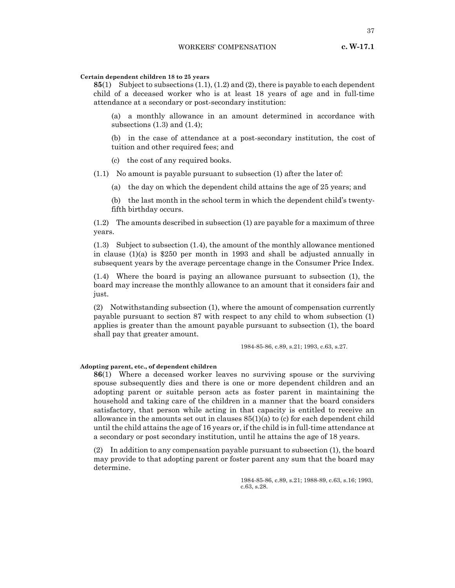37

## **Certain dependent children 18 to 25 years**

**85**(1) Subject to subsections (1.1), (1.2) and (2), there is payable to each dependent child of a deceased worker who is at least 18 years of age and in full-time attendance at a secondary or post-secondary institution:

(a) a monthly allowance in an amount determined in accordance with subsections  $(1.3)$  and  $(1.4)$ ;

(b) in the case of attendance at a post-secondary institution, the cost of tuition and other required fees; and

(c) the cost of any required books.

(1.1) No amount is payable pursuant to subsection (1) after the later of:

- (a) the day on which the dependent child attains the age of 25 years; and
- (b) the last month in the school term in which the dependent child's twentyfifth birthday occurs.

(1.2) The amounts described in subsection (1) are payable for a maximum of three years.

(1.3) Subject to subsection (1.4), the amount of the monthly allowance mentioned in clause (1)(a) is \$250 per month in 1993 and shall be adjusted annually in subsequent years by the average percentage change in the Consumer Price Index.

(1.4) Where the board is paying an allowance pursuant to subsection (1), the board may increase the monthly allowance to an amount that it considers fair and just.

(2) Notwithstanding subsection (1), where the amount of compensation currently payable pursuant to section 87 with respect to any child to whom subsection (1) applies is greater than the amount payable pursuant to subsection (1), the board shall pay that greater amount.

1984-85-86, c.89, s.21; 1993, c.63, s.27.

## **Adopting parent, etc., of dependent children**

**86**(1) Where a deceased worker leaves no surviving spouse or the surviving spouse subsequently dies and there is one or more dependent children and an adopting parent or suitable person acts as foster parent in maintaining the household and taking care of the children in a manner that the board considers satisfactory, that person while acting in that capacity is entitled to receive an allowance in the amounts set out in clauses  $85(1)(a)$  to (c) for each dependent child until the child attains the age of 16 years or, if the child is in full-time attendance at a secondary or post secondary institution, until he attains the age of 18 years.

(2) In addition to any compensation payable pursuant to subsection (1), the board may provide to that adopting parent or foster parent any sum that the board may determine.

> 1984-85-86, c.89, s.21; 1988-89, c.63, s.16; 1993, c.63, s.28.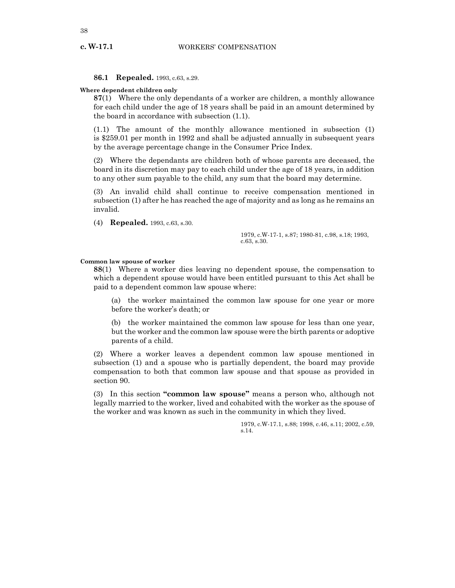**c. W-17.1**

**86.1 Repealed.** 1993, c.63, s.29.

**Where dependent children only**

**87**(1) Where the only dependants of a worker are children, a monthly allowance for each child under the age of 18 years shall be paid in an amount determined by the board in accordance with subsection (1.1).

(1.1) The amount of the monthly allowance mentioned in subsection (1) is \$259.01 per month in 1992 and shall be adjusted annually in subsequent years by the average percentage change in the Consumer Price Index.

(2) Where the dependants are children both of whose parents are deceased, the board in its discretion may pay to each child under the age of 18 years, in addition to any other sum payable to the child, any sum that the board may determine.

(3) An invalid child shall continue to receive compensation mentioned in subsection (1) after he has reached the age of majority and as long as he remains an invalid.

(4) **Repealed.** 1993, c.63, s.30.

1979, c.W-17-1, s.87; 1980-81, c.98, s.18; 1993, c.63, s.30.

## **Common law spouse of worker**

**88**(1) Where a worker dies leaving no dependent spouse, the compensation to which a dependent spouse would have been entitled pursuant to this Act shall be paid to a dependent common law spouse where:

(a) the worker maintained the common law spouse for one year or more before the worker's death; or

(b) the worker maintained the common law spouse for less than one year, but the worker and the common law spouse were the birth parents or adoptive parents of a child.

(2) Where a worker leaves a dependent common law spouse mentioned in subsection (1) and a spouse who is partially dependent, the board may provide compensation to both that common law spouse and that spouse as provided in section 90.

(3) In this section **"common law spouse"** means a person who, although not legally married to the worker, lived and cohabited with the worker as the spouse of the worker and was known as such in the community in which they lived.

> 1979, c.W-17.1, s.88; 1998, c.46, s.11; 2002, c.59, s.14.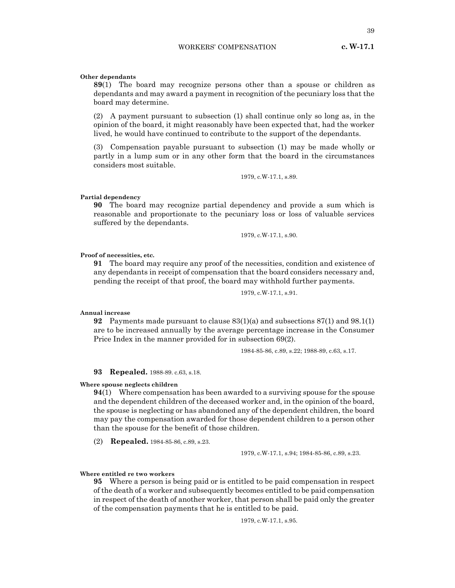39

## **Other dependants**

**89**(1) The board may recognize persons other than a spouse or children as dependants and may award a payment in recognition of the pecuniary loss that the board may determine.

(2) A payment pursuant to subsection (1) shall continue only so long as, in the opinion of the board, it might reasonably have been expected that, had the worker lived, he would have continued to contribute to the support of the dependants.

(3) Compensation payable pursuant to subsection (1) may be made wholly or partly in a lump sum or in any other form that the board in the circumstances considers most suitable.

1979, c.W-17.1, s.89.

#### **Partial dependency**

**90** The board may recognize partial dependency and provide a sum which is reasonable and proportionate to the pecuniary loss or loss of valuable services suffered by the dependants.

1979, c.W-17.1, s.90.

## **Proof of necessities, etc.**

**91** The board may require any proof of the necessities, condition and existence of any dependants in receipt of compensation that the board considers necessary and, pending the receipt of that proof, the board may withhold further payments.

1979, c.W-17.1, s.91.

## **Annual increase**

**92** Payments made pursuant to clause 83(1)(a) and subsections 87(1) and 98.1(1) are to be increased annually by the average percentage increase in the Consumer Price Index in the manner provided for in subsection 69(2).

1984-85-86, c.89, s.22; 1988-89, c.63, s.17.

**93 Repealed.** 1988-89. c.63, s.18.

## **Where spouse neglects children**

**94**(1) Where compensation has been awarded to a surviving spouse for the spouse and the dependent children of the deceased worker and, in the opinion of the board, the spouse is neglecting or has abandoned any of the dependent children, the board may pay the compensation awarded for those dependent children to a person other than the spouse for the benefit of those children.

(2) **Repealed.** 1984-85-86, c.89, s.23.

1979, c.W-17.1, s.94; 1984-85-86, c.89, s.23.

#### **Where entitled re two workers**

**95** Where a person is being paid or is entitled to be paid compensation in respect of the death of a worker and subsequently becomes entitled to be paid compensation in respect of the death of another worker, that person shall be paid only the greater of the compensation payments that he is entitled to be paid.

1979, c.W-17.1, s.95.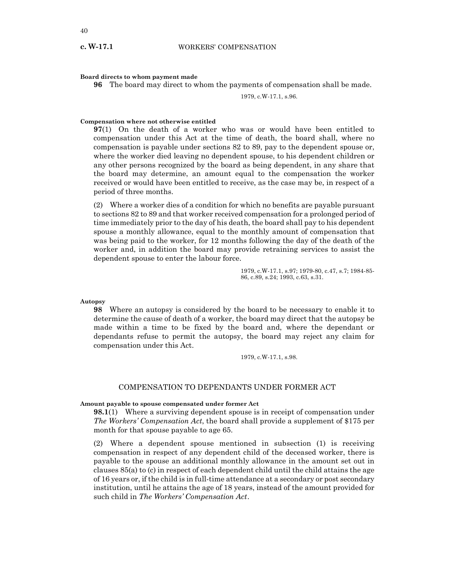#### **Board directs to whom payment made**

**96** The board may direct to whom the payments of compensation shall be made.

1979, c.W-17.1, s.96.

## **Compensation where not otherwise entitled**

**97**(1) On the death of a worker who was or would have been entitled to compensation under this Act at the time of death, the board shall, where no compensation is payable under sections 82 to 89, pay to the dependent spouse or, where the worker died leaving no dependent spouse, to his dependent children or any other persons recognized by the board as being dependent, in any share that the board may determine, an amount equal to the compensation the worker received or would have been entitled to receive, as the case may be, in respect of a period of three months.

(2) Where a worker dies of a condition for which no benefits are payable pursuant to sections 82 to 89 and that worker received compensation for a prolonged period of time immediately prior to the day of his death, the board shall pay to his dependent spouse a monthly allowance, equal to the monthly amount of compensation that was being paid to the worker, for 12 months following the day of the death of the worker and, in addition the board may provide retraining services to assist the dependent spouse to enter the labour force.

> 1979, c.W-17.1, s.97; 1979-80, c.47, s.7; 1984-85- 86, c.89, s.24; 1993, c.63, s.31.

**Autopsy**

**98** Where an autopsy is considered by the board to be necessary to enable it to determine the cause of death of a worker, the board may direct that the autopsy be made within a time to be fixed by the board and, where the dependant or dependants refuse to permit the autopsy, the board may reject any claim for compensation under this Act.

1979, c.W-17.1, s.98.

## COMPENSATION TO DEPENDANTS UNDER FORMER ACT

## **Amount payable to spouse compensated under former Act**

**98.1**(1) Where a surviving dependent spouse is in receipt of compensation under *The Workers' Compensation Act*, the board shall provide a supplement of \$175 per month for that spouse payable to age 65.

(2) Where a dependent spouse mentioned in subsection (1) is receiving compensation in respect of any dependent child of the deceased worker, there is payable to the spouse an additional monthly allowance in the amount set out in clauses 85(a) to (c) in respect of each dependent child until the child attains the age of 16 years or, if the child is in full-time attendance at a secondary or post secondary institution, until he attains the age of 18 years, instead of the amount provided for such child in *The Workers' Compensation Act*.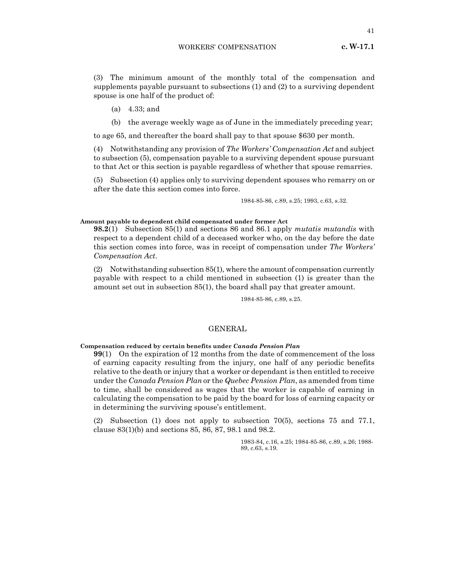WORKERS' COMPENSATION

**c. W-17.1**

(3) The minimum amount of the monthly total of the compensation and supplements payable pursuant to subsections (1) and (2) to a surviving dependent spouse is one half of the product of:

- (a) 4.33; and
- (b) the average weekly wage as of June in the immediately preceding year;

to age 65, and thereafter the board shall pay to that spouse \$630 per month.

(4) Notwithstanding any provision of *The Workers' Compensation Act* and subject to subsection (5), compensation payable to a surviving dependent spouse pursuant to that Act or this section is payable regardless of whether that spouse remarries.

(5) Subsection (4) applies only to surviving dependent spouses who remarry on or after the date this section comes into force.

1984-85-86, c.89, s.25; 1993, c.63, s.32.

## **Amount payable to dependent child compensated under former Act**

**98.2**(1) Subsection 85(1) and sections 86 and 86.1 apply *mutatis mutandis* with respect to a dependent child of a deceased worker who, on the day before the date this section comes into force, was in receipt of compensation under *The Workers' Compensation Act*.

(2) Notwithstanding subsection 85(1), where the amount of compensation currently payable with respect to a child mentioned in subsection (1) is greater than the amount set out in subsection 85(1), the board shall pay that greater amount.

1984-85-86, c.89, s.25.

## GENERAL

#### **Compensation reduced by certain benefits under** *Canada Pension Plan*

**99**(1) On the expiration of 12 months from the date of commencement of the loss of earning capacity resulting from the injury, one half of any periodic benefits relative to the death or injury that a worker or dependant is then entitled to receive under the *Canada Pension Plan* or the *Quebec Pension Plan*, as amended from time to time, shall be considered as wages that the worker is capable of earning in calculating the compensation to be paid by the board for loss of earning capacity or in determining the surviving spouse's entitlement.

(2) Subsection (1) does not apply to subsection 70(5), sections 75 and 77.1, clause 83(1)(b) and sections 85, 86, 87, 98.1 and 98.2.

> 1983-84, c.16, s.25; 1984-85-86, c.89, s.26; 1988- 89, c.63, s.19.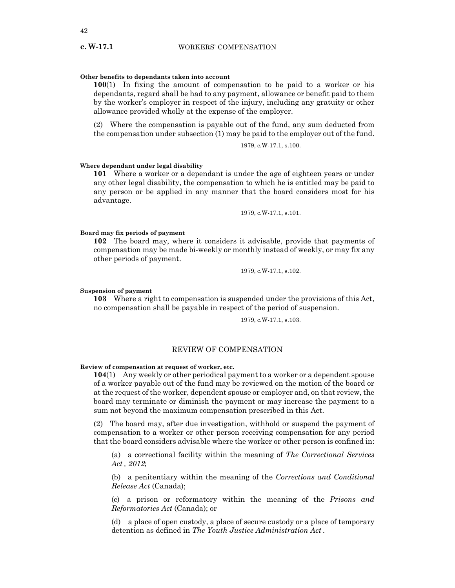## **Other benefits to dependants taken into account**

**100**(1) In fixing the amount of compensation to be paid to a worker or his dependants, regard shall be had to any payment, allowance or benefit paid to them by the worker's employer in respect of the injury, including any gratuity or other allowance provided wholly at the expense of the employer.

(2) Where the compensation is payable out of the fund, any sum deducted from the compensation under subsection (1) may be paid to the employer out of the fund.

1979, c.W-17.1, s.100.

#### **Where dependant under legal disability**

**101** Where a worker or a dependant is under the age of eighteen years or under any other legal disability, the compensation to which he is entitled may be paid to any person or be applied in any manner that the board considers most for his advantage.

1979, c.W-17.1, s.101.

## **Board may fix periods of payment**

**102** The board may, where it considers it advisable, provide that payments of compensation may be made bi-weekly or monthly instead of weekly, or may fix any other periods of payment.

1979, c.W-17.1, s.102.

#### **Suspension of payment**

**103** Where a right to compensation is suspended under the provisions of this Act, no compensation shall be payable in respect of the period of suspension.

1979, c.W-17.1, s.103.

## REVIEW OF COMPENSATION

**Review of compensation at request of worker, etc.**

**104**(1) Any weekly or other periodical payment to a worker or a dependent spouse of a worker payable out of the fund may be reviewed on the motion of the board or at the request of the worker, dependent spouse or employer and, on that review, the board may terminate or diminish the payment or may increase the payment to a sum not beyond the maximum compensation prescribed in this Act.

(2) The board may, after due investigation, withhold or suspend the payment of compensation to a worker or other person receiving compensation for any period that the board considers advisable where the worker or other person is confined in:

(a) a correctional facility within the meaning of *The Correctional Services Act , 2012*;

(b) a penitentiary within the meaning of the *Corrections and Conditional Release Act* (Canada);

(c) a prison or reformatory within the meaning of the *Prisons and Reformatories Act* (Canada); or

(d) a place of open custody, a place of secure custody or a place of temporary detention as defined in *The Youth Justice Administration Act* .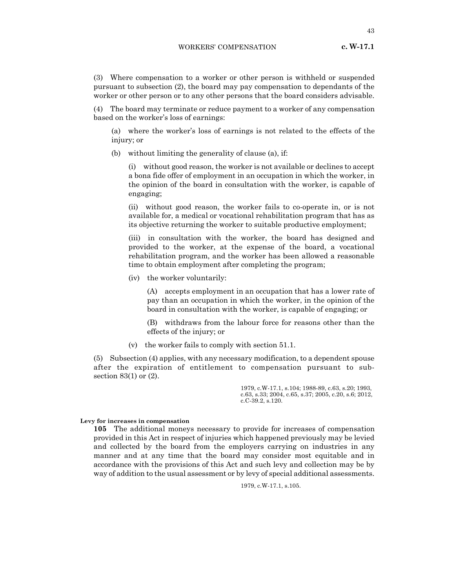WORKERS' COMPENSATION

(3) Where compensation to a worker or other person is withheld or suspended pursuant to subsection (2), the board may pay compensation to dependants of the worker or other person or to any other persons that the board considers advisable.

(4) The board may terminate or reduce payment to a worker of any compensation based on the worker's loss of earnings:

(a) where the worker's loss of earnings is not related to the effects of the injury; or

(b) without limiting the generality of clause (a), if:

(i) without good reason, the worker is not available or declines to accept a bona fide offer of employment in an occupation in which the worker, in the opinion of the board in consultation with the worker, is capable of engaging;

(ii) without good reason, the worker fails to co-operate in, or is not available for, a medical or vocational rehabilitation program that has as its objective returning the worker to suitable productive employment;

(iii) in consultation with the worker, the board has designed and provided to the worker, at the expense of the board, a vocational rehabilitation program, and the worker has been allowed a reasonable time to obtain employment after completing the program;

(iv) the worker voluntarily:

(A) accepts employment in an occupation that has a lower rate of pay than an occupation in which the worker, in the opinion of the board in consultation with the worker, is capable of engaging; or

(B) withdraws from the labour force for reasons other than the effects of the injury; or

(v) the worker fails to comply with section 51.1.

(5) Subsection (4) applies, with any necessary modification, to a dependent spouse after the expiration of entitlement to compensation pursuant to subsection 83(1) or (2).

> 1979, c.W-17.1, s.104; 1988-89, c.63, s.20; 1993, c.63, s.33; 2004, c.65, s.37; 2005, c.20, s.6; 2012, c.C-39.2, s.120.

#### **Levy for increases in compensation**

**105** The additional moneys necessary to provide for increases of compensation provided in this Act in respect of injuries which happened previously may be levied and collected by the board from the employers carrying on industries in any manner and at any time that the board may consider most equitable and in accordance with the provisions of this Act and such levy and collection may be by way of addition to the usual assessment or by levy of special additional assessments.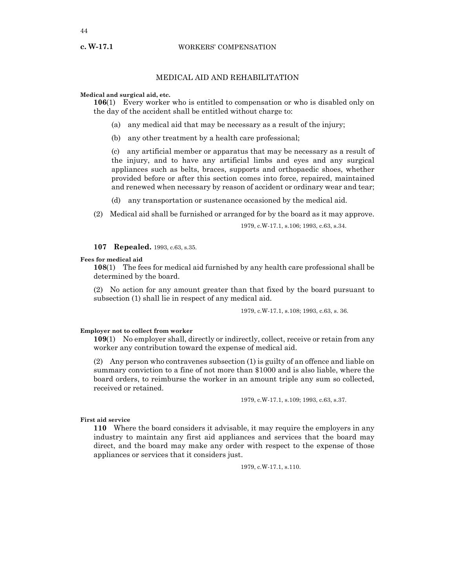## WORKERS' COMPENSATION

## MEDICAL AID AND REHABILITATION

**Medical and surgical aid, etc.**

**106**(1) Every worker who is entitled to compensation or who is disabled only on the day of the accident shall be entitled without charge to:

- (a) any medical aid that may be necessary as a result of the injury;
- (b) any other treatment by a health care professional;

(c) any artificial member or apparatus that may be necessary as a result of the injury, and to have any artificial limbs and eyes and any surgical appliances such as belts, braces, supports and orthopaedic shoes, whether provided before or after this section comes into force, repaired, maintained and renewed when necessary by reason of accident or ordinary wear and tear;

- (d) any transportation or sustenance occasioned by the medical aid.
- (2) Medical aid shall be furnished or arranged for by the board as it may approve.

1979, c.W-17.1, s.106; 1993, c.63, s.34.

## **107 Repealed.** 1993, c.63, s.35.

## **Fees for medical aid**

**108**(1) The fees for medical aid furnished by any health care professional shall be determined by the board.

(2) No action for any amount greater than that fixed by the board pursuant to subsection (1) shall lie in respect of any medical aid.

1979, c.W-17.1, s.108; 1993, c.63, s. 36.

#### **Employer not to collect from worker**

**109**(1) No employer shall, directly or indirectly, collect, receive or retain from any worker any contribution toward the expense of medical aid.

(2) Any person who contravenes subsection (1) is guilty of an offence and liable on summary conviction to a fine of not more than \$1000 and is also liable, where the board orders, to reimburse the worker in an amount triple any sum so collected, received or retained.

1979, c.W-17.1, s.109; 1993, c.63, s.37.

## **First aid service**

**110** Where the board considers it advisable, it may require the employers in any industry to maintain any first aid appliances and services that the board may direct, and the board may make any order with respect to the expense of those appliances or services that it considers just.

1979, c.W-17.1, s.110.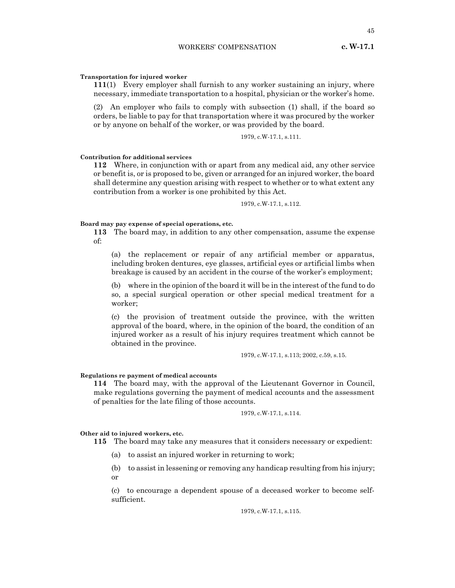## **Transportation for injured worker**

**111**(1) Every employer shall furnish to any worker sustaining an injury, where necessary, immediate transportation to a hospital, physician or the worker's home.

(2) An employer who fails to comply with subsection (1) shall, if the board so orders, be liable to pay for that transportation where it was procured by the worker or by anyone on behalf of the worker, or was provided by the board.

1979, c.W-17.1, s.111.

#### **Contribution for additional services**

**112** Where, in conjunction with or apart from any medical aid, any other service or benefit is, or is proposed to be, given or arranged for an injured worker, the board shall determine any question arising with respect to whether or to what extent any contribution from a worker is one prohibited by this Act.

1979, c.W-17.1, s.112.

## **Board may pay expense of special operations, etc.**

**113** The board may, in addition to any other compensation, assume the expense of:

(a) the replacement or repair of any artificial member or apparatus, including broken dentures, eye glasses, artificial eyes or artificial limbs when breakage is caused by an accident in the course of the worker's employment;

(b) where in the opinion of the board it will be in the interest of the fund to do so, a special surgical operation or other special medical treatment for a worker;

(c) the provision of treatment outside the province, with the written approval of the board, where, in the opinion of the board, the condition of an injured worker as a result of his injury requires treatment which cannot be obtained in the province.

1979, c.W-17.1, s.113; 2002, c.59, s.15.

#### **Regulations re payment of medical accounts**

**114** The board may, with the approval of the Lieutenant Governor in Council, make regulations governing the payment of medical accounts and the assessment of penalties for the late filing of those accounts.

1979, c.W-17.1, s.114.

## **Other aid to injured workers, etc.**

**115** The board may take any measures that it considers necessary or expedient:

- (a) to assist an injured worker in returning to work;
- (b) to assist in lessening or removing any handicap resulting from his injury; or

(c) to encourage a dependent spouse of a deceased worker to become selfsufficient.

1979, c.W-17.1, s.115.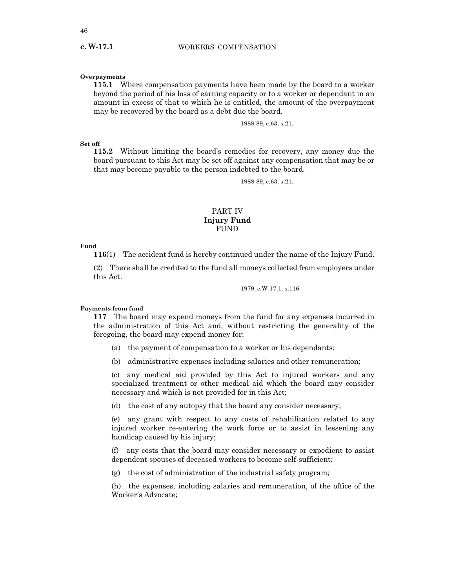## **Overpayments**

**c. W-17.1**

**115.1** Where compensation payments have been made by the board to a worker beyond the period of his loss of earning capacity or to a worker or dependant in an amount in excess of that to which he is entitled, the amount of the overpayment may be recovered by the board as a debt due the board.

1988-89, c.63, s.21.

## **Set off**

**115.2** Without limiting the board's remedies for recovery, any money due the board pursuant to this Act may be set off against any compensation that may be or that may become payable to the person indebted to the board.

1988-89, c.63, s.21.

## PART IV **Injury Fund** FUND

#### **Fund**

**116**(1) The accident fund is hereby continued under the name of the Injury Fund.

(2) There shall be credited to the fund all moneys collected from employers under this Act.

1979, c.W-17.1, s.116.

#### **Payments from fund**

**117** The board may expend moneys from the fund for any expenses incurred in the administration of this Act and, without restricting the generality of the foregoing, the board may expend money for:

- (a) the payment of compensation to a worker or his dependants;
- (b) administrative expenses including salaries and other remuneration;

(c) any medical aid provided by this Act to injured workers and any specialized treatment or other medical aid which the board may consider necessary and which is not provided for in this Act;

(d) the cost of any autopsy that the board any consider necessary;

(e) any grant with respect to any costs of rehabilitation related to any injured worker re-entering the work force or to assist in lessening any handicap caused by his injury;

(f) any costs that the board may consider necessary or expedient to assist dependent spouses of deceased workers to become self-sufficient;

(g) the cost of administration of the industrial safety program;

(h) the expenses, including salaries and remuneration, of the office of the Worker's Advocate;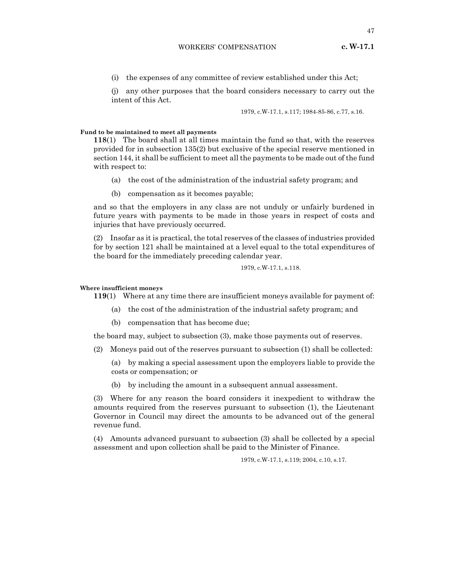(i) the expenses of any committee of review established under this Act;

(j) any other purposes that the board considers necessary to carry out the intent of this Act.

1979, c.W-17.1, s.117; 1984-85-86, c.77, s.16.

## **Fund to be maintained to meet all payments**

**118**(1) The board shall at all times maintain the fund so that, with the reserves provided for in subsection 135(2) but exclusive of the special reserve mentioned in section 144, it shall be sufficient to meet all the payments to be made out of the fund with respect to:

- (a) the cost of the administration of the industrial safety program; and
- (b) compensation as it becomes payable;

and so that the employers in any class are not unduly or unfairly burdened in future years with payments to be made in those years in respect of costs and injuries that have previously occurred.

(2) Insofar as it is practical, the total reserves of the classes of industries provided for by section 121 shall be maintained at a level equal to the total expenditures of the board for the immediately preceding calendar year.

#### 1979, c.W-17.1, s.118.

#### **Where insufficient moneys**

**119**(1) Where at any time there are insufficient moneys available for payment of:

- (a) the cost of the administration of the industrial safety program; and
- (b) compensation that has become due;

the board may, subject to subsection (3), make those payments out of reserves.

- (2) Moneys paid out of the reserves pursuant to subsection (1) shall be collected:
	- (a) by making a special assessment upon the employers liable to provide the costs or compensation; or
	- (b) by including the amount in a subsequent annual assessment.

(3) Where for any reason the board considers it inexpedient to withdraw the amounts required from the reserves pursuant to subsection (1), the Lieutenant Governor in Council may direct the amounts to be advanced out of the general revenue fund.

(4) Amounts advanced pursuant to subsection (3) shall be collected by a special assessment and upon collection shall be paid to the Minister of Finance.

#### 1979, c.W-17.1, s.119; 2004, c.10, s.17.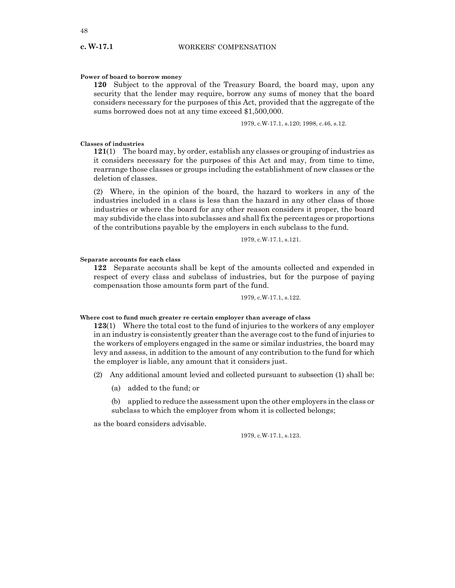#### **Power of board to borrow money**

**120** Subject to the approval of the Treasury Board, the board may, upon any security that the lender may require, borrow any sums of money that the board considers necessary for the purposes of this Act, provided that the aggregate of the sums borrowed does not at any time exceed \$1,500,000.

1979, c.W-17.1, s.120; 1998, c.46, s.12.

## **Classes of industries**

**121**(1) The board may, by order, establish any classes or grouping of industries as it considers necessary for the purposes of this Act and may, from time to time, rearrange those classes or groups including the establishment of new classes or the deletion of classes.

(2) Where, in the opinion of the board, the hazard to workers in any of the industries included in a class is less than the hazard in any other class of those industries or where the board for any other reason considers it proper, the board may subdivide the class into subclasses and shall fix the percentages or proportions of the contributions payable by the employers in each subclass to the fund.

1979, c.W-17.1, s.121.

#### **Separate accounts for each class**

**122** Separate accounts shall be kept of the amounts collected and expended in respect of every class and subclass of industries, but for the purpose of paying compensation those amounts form part of the fund.

1979, c.W-17.1, s.122.

## **Where cost to fund much greater re certain employer than average of class**

**123**(1) Where the total cost to the fund of injuries to the workers of any employer in an industry is consistently greater than the average cost to the fund of injuries to the workers of employers engaged in the same or similar industries, the board may levy and assess, in addition to the amount of any contribution to the fund for which the employer is liable, any amount that it considers just.

- (2) Any additional amount levied and collected pursuant to subsection (1) shall be:
	- (a) added to the fund; or

(b) applied to reduce the assessment upon the other employers in the class or subclass to which the employer from whom it is collected belongs;

as the board considers advisable.

1979, c.W-17.1, s.123.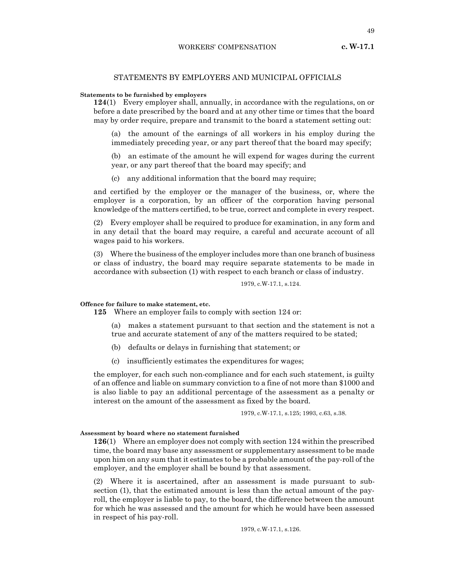# STATEMENTS BY EMPLOYERS AND MUNICIPAL OFFICIALS

## **Statements to be furnished by employers**

**124**(1) Every employer shall, annually, in accordance with the regulations, on or before a date prescribed by the board and at any other time or times that the board may by order require, prepare and transmit to the board a statement setting out:

(a) the amount of the earnings of all workers in his employ during the immediately preceding year, or any part thereof that the board may specify;

(b) an estimate of the amount he will expend for wages during the current year, or any part thereof that the board may specify; and

(c) any additional information that the board may require;

and certified by the employer or the manager of the business, or, where the employer is a corporation, by an officer of the corporation having personal knowledge of the matters certified, to be true, correct and complete in every respect.

(2) Every employer shall be required to produce for examination, in any form and in any detail that the board may require, a careful and accurate account of all wages paid to his workers.

(3) Where the business of the employer includes more than one branch of business or class of industry, the board may require separate statements to be made in accordance with subsection (1) with respect to each branch or class of industry.

1979, c.W-17.1, s.124.

#### **Offence for failure to make statement, etc.**

**125** Where an employer fails to comply with section 124 or:

(a) makes a statement pursuant to that section and the statement is not a true and accurate statement of any of the matters required to be stated;

- (b) defaults or delays in furnishing that statement; or
- (c) insufficiently estimates the expenditures for wages;

the employer, for each such non-compliance and for each such statement, is guilty of an offence and liable on summary conviction to a fine of not more than \$1000 and is also liable to pay an additional percentage of the assessment as a penalty or interest on the amount of the assessment as fixed by the board.

1979, c.W-17.1, s.125; 1993, c.63, s.38.

## **Assessment by board where no statement furnished**

**126**(1) Where an employer does not comply with section 124 within the prescribed time, the board may base any assessment or supplementary assessment to be made upon him on any sum that it estimates to be a probable amount of the pay-roll of the employer, and the employer shall be bound by that assessment.

(2) Where it is ascertained, after an assessment is made pursuant to subsection (1), that the estimated amount is less than the actual amount of the payroll, the employer is liable to pay, to the board, the difference between the amount for which he was assessed and the amount for which he would have been assessed in respect of his pay-roll.

1979, c.W-17.1, s.126.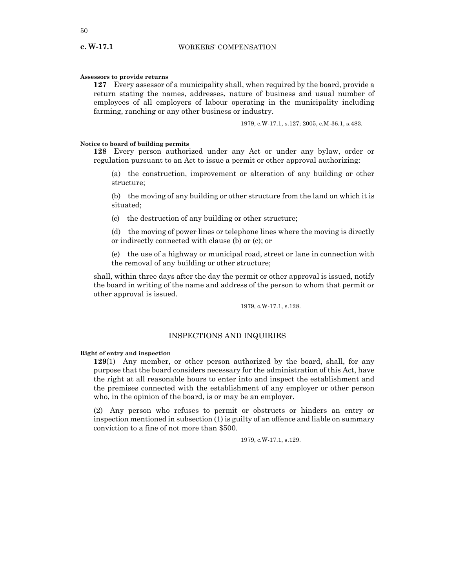#### **Assessors to provide returns**

**127** Every assessor of a municipality shall, when required by the board, provide a return stating the names, addresses, nature of business and usual number of employees of all employers of labour operating in the municipality including farming, ranching or any other business or industry.

1979, c.W-17.1, s.127; 2005, c.M-36.1, s.483.

## **Notice to board of building permits**

**128** Every person authorized under any Act or under any bylaw, order or regulation pursuant to an Act to issue a permit or other approval authorizing:

(a) the construction, improvement or alteration of any building or other structure;

(b) the moving of any building or other structure from the land on which it is situated;

(c) the destruction of any building or other structure;

(d) the moving of power lines or telephone lines where the moving is directly or indirectly connected with clause (b) or (c); or

(e) the use of a highway or municipal road, street or lane in connection with the removal of any building or other structure;

shall, within three days after the day the permit or other approval is issued, notify the board in writing of the name and address of the person to whom that permit or other approval is issued.

1979, c.W-17.1, s.128.

## INSPECTIONS AND INQUIRIES

## **Right of entry and inspection**

**129**(1) Any member, or other person authorized by the board, shall, for any purpose that the board considers necessary for the administration of this Act, have the right at all reasonable hours to enter into and inspect the establishment and the premises connected with the establishment of any employer or other person who, in the opinion of the board, is or may be an employer.

(2) Any person who refuses to permit or obstructs or hinders an entry or inspection mentioned in subsection (1) is guilty of an offence and liable on summary conviction to a fine of not more than \$500.

1979, c.W-17.1, s.129.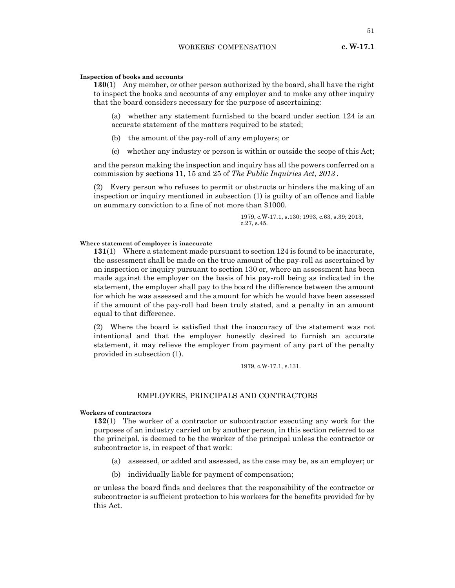51

## **Inspection of books and accounts**

**130**(1) Any member, or other person authorized by the board, shall have the right to inspect the books and accounts of any employer and to make any other inquiry that the board considers necessary for the purpose of ascertaining:

(a) whether any statement furnished to the board under section 124 is an accurate statement of the matters required to be stated;

(b) the amount of the pay-roll of any employers; or

(c) whether any industry or person is within or outside the scope of this Act;

and the person making the inspection and inquiry has all the powers conferred on a commission by sections 11, 15 and 25 of *The Public Inquiries Act, 2013* .

(2) Every person who refuses to permit or obstructs or hinders the making of an inspection or inquiry mentioned in subsection (1) is guilty of an offence and liable on summary conviction to a fine of not more than \$1000.

> 1979, c.W-17.1, s.130; 1993, c.63, s.39; 2013, c.27, s.45.

## **Where statement of employer is inaccurate**

**131**(1) Where a statement made pursuant to section 124 is found to be inaccurate, the assessment shall be made on the true amount of the pay-roll as ascertained by an inspection or inquiry pursuant to section 130 or, where an assessment has been made against the employer on the basis of his pay-roll being as indicated in the statement, the employer shall pay to the board the difference between the amount for which he was assessed and the amount for which he would have been assessed if the amount of the pay-roll had been truly stated, and a penalty in an amount equal to that difference.

(2) Where the board is satisfied that the inaccuracy of the statement was not intentional and that the employer honestly desired to furnish an accurate statement, it may relieve the employer from payment of any part of the penalty provided in subsection (1).

1979, c.W-17.1, s.131.

## EMPLOYERS, PRINCIPALS AND CONTRACTORS

## **Workers of contractors**

**132**(1) The worker of a contractor or subcontractor executing any work for the purposes of an industry carried on by another person, in this section referred to as the principal, is deemed to be the worker of the principal unless the contractor or subcontractor is, in respect of that work:

- (a) assessed, or added and assessed, as the case may be, as an employer; or
- (b) individually liable for payment of compensation;

or unless the board finds and declares that the responsibility of the contractor or subcontractor is sufficient protection to his workers for the benefits provided for by this Act.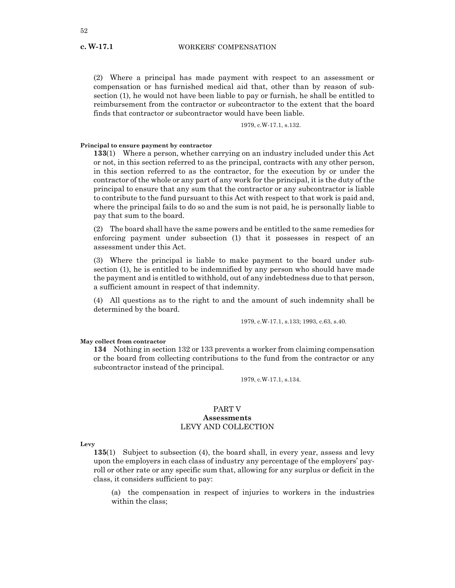**c. W-17.1**

(2) Where a principal has made payment with respect to an assessment or compensation or has furnished medical aid that, other than by reason of subsection (1), he would not have been liable to pay or furnish, he shall be entitled to reimbursement from the contractor or subcontractor to the extent that the board finds that contractor or subcontractor would have been liable.

1979, c.W-17.1, s.132.

## **Principal to ensure payment by contractor**

**133**(1) Where a person, whether carrying on an industry included under this Act or not, in this section referred to as the principal, contracts with any other person, in this section referred to as the contractor, for the execution by or under the contractor of the whole or any part of any work for the principal, it is the duty of the principal to ensure that any sum that the contractor or any subcontractor is liable to contribute to the fund pursuant to this Act with respect to that work is paid and, where the principal fails to do so and the sum is not paid, he is personally liable to pay that sum to the board.

(2) The board shall have the same powers and be entitled to the same remedies for enforcing payment under subsection (1) that it possesses in respect of an assessment under this Act.

(3) Where the principal is liable to make payment to the board under subsection (1), he is entitled to be indemnified by any person who should have made the payment and is entitled to withhold, out of any indebtedness due to that person, a sufficient amount in respect of that indemnity.

(4) All questions as to the right to and the amount of such indemnity shall be determined by the board.

1979, c.W-17.1, s.133; 1993, c.63, s.40.

## **May collect from contractor**

**134** Nothing in section 132 or 133 prevents a worker from claiming compensation or the board from collecting contributions to the fund from the contractor or any subcontractor instead of the principal.

1979, c.W-17.1, s.134.

## PART V **Assessments** LEVY AND COLLECTION

**Levy**

**135**(1) Subject to subsection (4), the board shall, in every year, assess and levy upon the employers in each class of industry any percentage of the employers' payroll or other rate or any specific sum that, allowing for any surplus or deficit in the class, it considers sufficient to pay:

(a) the compensation in respect of injuries to workers in the industries within the class;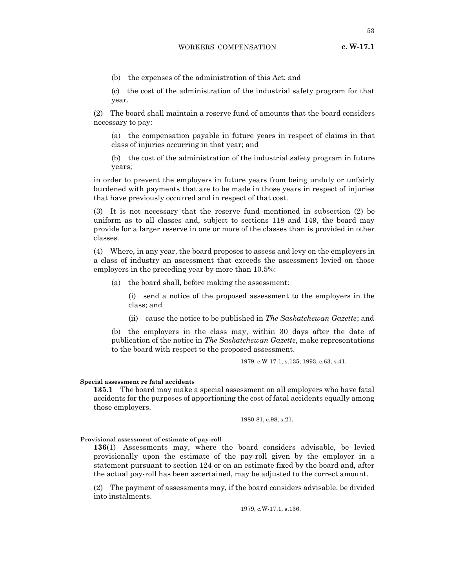- **c. W-17.1**
- (b) the expenses of the administration of this Act; and

(c) the cost of the administration of the industrial safety program for that year.

(2) The board shall maintain a reserve fund of amounts that the board considers necessary to pay:

(a) the compensation payable in future years in respect of claims in that class of injuries occurring in that year; and

(b) the cost of the administration of the industrial safety program in future years;

in order to prevent the employers in future years from being unduly or unfairly burdened with payments that are to be made in those years in respect of injuries that have previously occurred and in respect of that cost.

(3) It is not necessary that the reserve fund mentioned in subsection (2) be uniform as to all classes and, subject to sections 118 and 149, the board may provide for a larger reserve in one or more of the classes than is provided in other classes.

(4) Where, in any year, the board proposes to assess and levy on the employers in a class of industry an assessment that exceeds the assessment levied on those employers in the preceding year by more than 10.5%:

(a) the board shall, before making the assessment:

(i) send a notice of the proposed assessment to the employers in the class; and

(ii) cause the notice to be published in *The Saskatchewan Gazette*; and

(b) the employers in the class may, within 30 days after the date of publication of the notice in *The Saskatchewan Gazette*, make representations to the board with respect to the proposed assessment.

1979, c.W-17.1, s.135; 1993, c.63, s.41.

#### **Special assessment re fatal accidents**

**135.1** The board may make a special assessment on all employers who have fatal accidents for the purposes of apportioning the cost of fatal accidents equally among those employers.

1980-81, c.98, s.21.

#### **Provisional assessment of estimate of pay-roll**

**136**(1) Assessments may, where the board considers advisable, be levied provisionally upon the estimate of the pay-roll given by the employer in a statement pursuant to section 124 or on an estimate fixed by the board and, after the actual pay-roll has been ascertained, may be adjusted to the correct amount.

(2) The payment of assessments may, if the board considers advisable, be divided into instalments.

1979, c.W-17.1, s.136.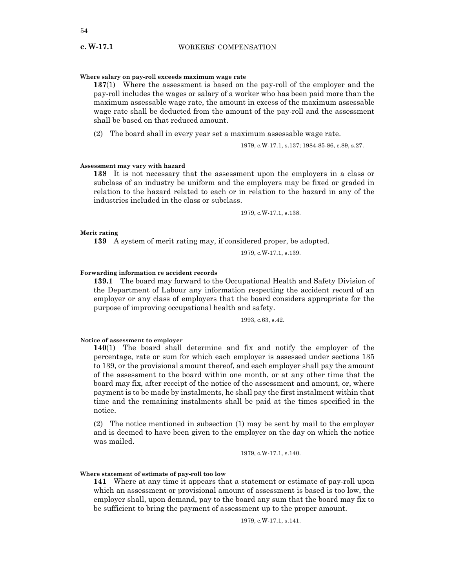## **Where salary on pay-roll exceeds maximum wage rate**

**137**(1) Where the assessment is based on the pay-roll of the employer and the pay-roll includes the wages or salary of a worker who has been paid more than the maximum assessable wage rate, the amount in excess of the maximum assessable wage rate shall be deducted from the amount of the pay-roll and the assessment shall be based on that reduced amount.

(2) The board shall in every year set a maximum assessable wage rate.

1979, c.W-17.1, s.137; 1984-85-86, c.89, s.27.

## **Assessment may vary with hazard**

**138** It is not necessary that the assessment upon the employers in a class or subclass of an industry be uniform and the employers may be fixed or graded in relation to the hazard related to each or in relation to the hazard in any of the industries included in the class or subclass.

1979, c.W-17.1, s.138.

## **Merit rating**

**139** A system of merit rating may, if considered proper, be adopted.

1979, c.W-17.1, s.139.

## **Forwarding information re accident records**

**139.1** The board may forward to the Occupational Health and Safety Division of the Department of Labour any information respecting the accident record of an employer or any class of employers that the board considers appropriate for the purpose of improving occupational health and safety.

1993, c.63, s.42.

#### **Notice of assessment to employer**

**140**(1) The board shall determine and fix and notify the employer of the percentage, rate or sum for which each employer is assessed under sections 135 to 139, or the provisional amount thereof, and each employer shall pay the amount of the assessment to the board within one month, or at any other time that the board may fix, after receipt of the notice of the assessment and amount, or, where payment is to be made by instalments, he shall pay the first instalment within that time and the remaining instalments shall be paid at the times specified in the notice.

(2) The notice mentioned in subsection (1) may be sent by mail to the employer and is deemed to have been given to the employer on the day on which the notice was mailed.

1979, c.W-17.1, s.140.

#### **Where statement of estimate of pay-roll too low**

**141** Where at any time it appears that a statement or estimate of pay-roll upon which an assessment or provisional amount of assessment is based is too low, the employer shall, upon demand, pay to the board any sum that the board may fix to be sufficient to bring the payment of assessment up to the proper amount.

1979, c.W-17.1, s.141.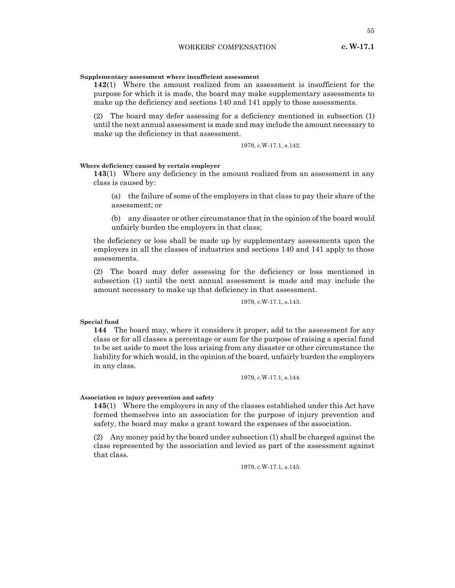## **Supplementary assessment where insufficient assessment**

**142**(1) Where the amount realized from an assessment is insufficient for the purpose for which it is made, the board may make supplementary assessments to make up the deficiency and sections 140 and 141 apply to those assessments.

(2) The board may defer assessing for a deficiency mentioned in subsection (1) until the next annual assessment is made and may include the amount necessary to make up the deficiency in that assessment.

1979, c.W-17.1, s.142.

#### **Where deficiency caused by certain employer**

**143**(1) Where any deficiency in the amount realized from an assessment in any class is caused by:

(a) the failure of some of the employers in that class to pay their share of the assessment; or

(b) any disaster or other circumstance that in the opinion of the board would unfairly burden the employers in that class;

the deficiency or loss shall be made up by supplementary assessments upon the employers in all the classes of industries and sections 140 and 141 apply to those assessments.

(2) The board may defer assessing for the deficiency or loss mentioned in subsection (1) until the next annual assessment is made and may include the amount necessary to make up that deficiency in that assessment.

1979, c.W-17.1, s.143.

## **Special fund**

**144** The board may, where it considers it proper, add to the assessment for any class or for all classes a percentage or sum for the purpose of raising a special fund to be set aside to meet the loss arising from any disaster or other circumstance the liability for which would, in the opinion of the board, unfairly burden the employers in any class.

1979, c.W-17.1, s.144.

#### **Association re injury prevention and safety**

**145**(1) Where the employers in any of the classes established under this Act have formed themselves into an association for the purpose of injury prevention and safety, the board may make a grant toward the expenses of the association.

(2) Any money paid by the board under subsection (1) shall be charged against the class represented by the association and levied as part of the assessment against that class.

1979, c.W-17.1, s.145.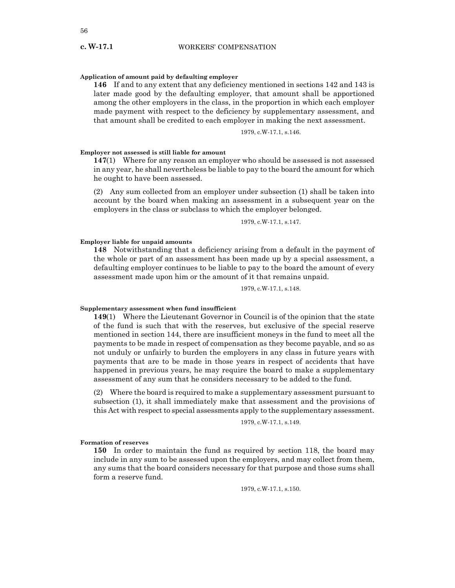## **Application of amount paid by defaulting employer**

**146** If and to any extent that any deficiency mentioned in sections 142 and 143 is later made good by the defaulting employer, that amount shall be apportioned among the other employers in the class, in the proportion in which each employer made payment with respect to the deficiency by supplementary assessment, and that amount shall be credited to each employer in making the next assessment.

1979, c.W-17.1, s.146.

#### **Employer not assessed is still liable for amount**

**147**(1) Where for any reason an employer who should be assessed is not assessed in any year, he shall nevertheless be liable to pay to the board the amount for which he ought to have been assessed.

(2) Any sum collected from an employer under subsection (1) shall be taken into account by the board when making an assessment in a subsequent year on the employers in the class or subclass to which the employer belonged.

1979, c.W-17.1, s.147.

## **Employer liable for unpaid amounts**

**148** Notwithstanding that a deficiency arising from a default in the payment of the whole or part of an assessment has been made up by a special assessment, a defaulting employer continues to be liable to pay to the board the amount of every assessment made upon him or the amount of it that remains unpaid.

1979, c.W-17.1, s.148.

#### **Supplementary assessment when fund insufficient**

**149**(1) Where the Lieutenant Governor in Council is of the opinion that the state of the fund is such that with the reserves, but exclusive of the special reserve mentioned in section 144, there are insufficient moneys in the fund to meet all the payments to be made in respect of compensation as they become payable, and so as not unduly or unfairly to burden the employers in any class in future years with payments that are to be made in those years in respect of accidents that have happened in previous years, he may require the board to make a supplementary assessment of any sum that he considers necessary to be added to the fund.

(2) Where the board is required to make a supplementary assessment pursuant to subsection (1), it shall immediately make that assessment and the provisions of this Act with respect to special assessments apply to the supplementary assessment.

1979, c.W-17.1, s.149.

#### **Formation of reserves**

**150** In order to maintain the fund as required by section 118, the board may include in any sum to be assessed upon the employers, and may collect from them, any sums that the board considers necessary for that purpose and those sums shall form a reserve fund.

1979, c.W-17.1, s.150.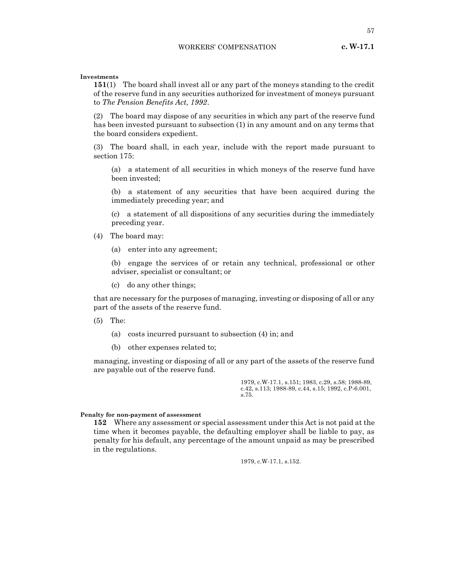**Investments**

**151**(1) The board shall invest all or any part of the moneys standing to the credit of the reserve fund in any securities authorized for investment of moneys pursuant to *The Pension Benefits Act, 1992*.

(2) The board may dispose of any securities in which any part of the reserve fund has been invested pursuant to subsection (1) in any amount and on any terms that the board considers expedient.

(3) The board shall, in each year, include with the report made pursuant to section 175:

(a) a statement of all securities in which moneys of the reserve fund have been invested;

(b) a statement of any securities that have been acquired during the immediately preceding year; and

(c) a statement of all dispositions of any securities during the immediately preceding year.

- (4) The board may:
	- (a) enter into any agreement;

(b) engage the services of or retain any technical, professional or other adviser, specialist or consultant; or

(c) do any other things;

that are necessary for the purposes of managing, investing or disposing of all or any part of the assets of the reserve fund.

- (5) The:
	- (a) costs incurred pursuant to subsection (4) in; and
	- (b) other expenses related to;

managing, investing or disposing of all or any part of the assets of the reserve fund are payable out of the reserve fund.

> 1979, c.W-17.1, s.151; 1983, c.29, s.58; 1988-89, c.42, s.113; 1988-89, c.44, s.15; 1992, c.P-6.001, s.75.

#### **Penalty for non-payment of assessment**

**152** Where any assessment or special assessment under this Act is not paid at the time when it becomes payable, the defaulting employer shall be liable to pay, as penalty for his default, any percentage of the amount unpaid as may be prescribed in the regulations.

1979, c.W-17.1, s.152.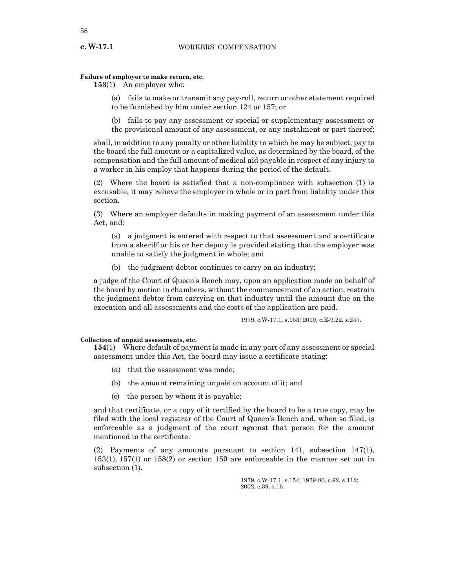## **Failure of employer to make return, etc.**

**153**(1) An employer who:

(a) fails to make or transmit any pay-roll, return or other statement required to be furnished by him under section 124 or 157; or

(b) fails to pay any assessment or special or supplementary assessment or the provisional amount of any assessment, or any instalment or part thereof;

shall, in addition to any penalty or other liability to which he may be subject, pay to the board the full amount or a capitalized value, as determined by the board, of the compensation and the full amount of medical aid payable in respect of any injury to a worker in his employ that happens during the period of the default.

(2) Where the board is satisfied that a non-compliance with subsection (1) is excusable, it may relieve the employer in whole or in part from liability under this section.

(3) Where an employer defaults in making payment of an assessment under this Act, and:

(a) a judgment is entered with respect to that assessment and a certificate from a sheriff or his or her deputy is provided stating that the employer was unable to satisfy the judgment in whole; and

(b) the judgment debtor continues to carry on an industry;

a judge of the Court of Queen's Bench may, upon an application made on behalf of the board by motion in chambers, without the commencement of an action, restrain the judgment debtor from carrying on that industry until the amount due on the execution and all assessments and the costs of the application are paid.

1979, c.W-17.1, s.153; 2010, c.E-9.22, s.247.

## **Collection of unpaid assessments, etc.**

**154**(1) Where default of payment is made in any part of any assessment or special assessment under this Act, the board may issue a certificate stating:

- (a) that the assessment was made;
- (b) the amount remaining unpaid on account of it; and
- (c) the person by whom it is payable;

and that certificate, or a copy of it certified by the board to be a true copy, may be filed with the local registrar of the Court of Queen's Bench and, when so filed, is enforceable as a judgment of the court against that person for the amount mentioned in the certificate.

(2) Payments of any amounts pursuant to section 141, subsection 147(1), 153(1), 157(1) or 158(2) or section 159 are enforceable in the manner set out in subsection (1).

> 1979, c.W-17.1, s.154; 1979-80, c.92, s.112; 2002, c.39, s.16.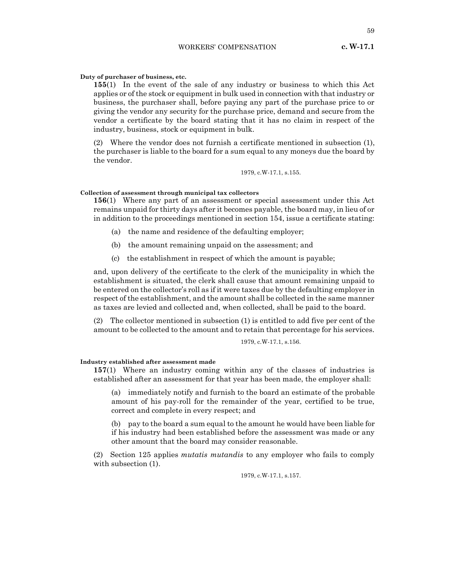## **Duty of purchaser of business, etc.**

**155**(1) In the event of the sale of any industry or business to which this Act applies or of the stock or equipment in bulk used in connection with that industry or business, the purchaser shall, before paying any part of the purchase price to or giving the vendor any security for the purchase price, demand and secure from the vendor a certificate by the board stating that it has no claim in respect of the industry, business, stock or equipment in bulk.

(2) Where the vendor does not furnish a certificate mentioned in subsection (1), the purchaser is liable to the board for a sum equal to any moneys due the board by the vendor.

1979, c.W-17.1, s.155.

## **Collection of assessment through municipal tax collectors**

**156**(1) Where any part of an assessment or special assessment under this Act remains unpaid for thirty days after it becomes payable, the board may, in lieu of or in addition to the proceedings mentioned in section 154, issue a certificate stating:

- (a) the name and residence of the defaulting employer;
- (b) the amount remaining unpaid on the assessment; and
- (c) the establishment in respect of which the amount is payable;

and, upon delivery of the certificate to the clerk of the municipality in which the establishment is situated, the clerk shall cause that amount remaining unpaid to be entered on the collector's roll as if it were taxes due by the defaulting employer in respect of the establishment, and the amount shall be collected in the same manner as taxes are levied and collected and, when collected, shall be paid to the board.

(2) The collector mentioned in subsection (1) is entitled to add five per cent of the amount to be collected to the amount and to retain that percentage for his services.

## 1979, c.W-17.1, s.156.

#### **Industry established after assessment made**

**157**(1) Where an industry coming within any of the classes of industries is established after an assessment for that year has been made, the employer shall:

(a) immediately notify and furnish to the board an estimate of the probable amount of his pay-roll for the remainder of the year, certified to be true, correct and complete in every respect; and

(b) pay to the board a sum equal to the amount he would have been liable for if his industry had been established before the assessment was made or any other amount that the board may consider reasonable.

(2) Section 125 applies *mutatis mutandis* to any employer who fails to comply with subsection (1).

1979, c.W-17.1, s.157.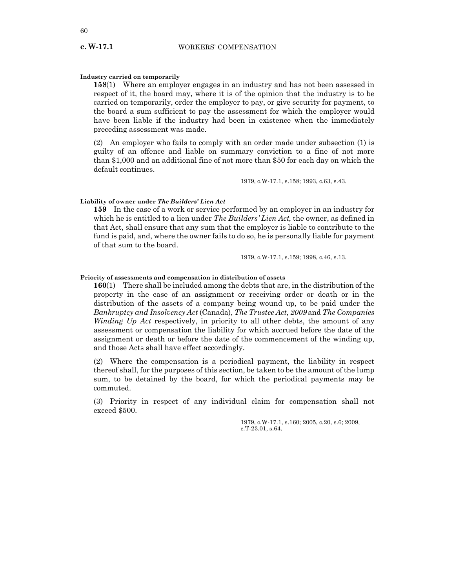## **Industry carried on temporarily**

**158**(1) Where an employer engages in an industry and has not been assessed in respect of it, the board may, where it is of the opinion that the industry is to be carried on temporarily, order the employer to pay, or give security for payment, to the board a sum sufficient to pay the assessment for which the employer would have been liable if the industry had been in existence when the immediately preceding assessment was made.

(2) An employer who fails to comply with an order made under subsection (1) is guilty of an offence and liable on summary conviction to a fine of not more than \$1,000 and an additional fine of not more than \$50 for each day on which the default continues.

1979, c.W-17.1, s.158; 1993, c.63, s.43.

#### **Liability of owner under** *The Builders' Lien Act*

**159** In the case of a work or service performed by an employer in an industry for which he is entitled to a lien under *The Builders' Lien Act*, the owner, as defined in that Act, shall ensure that any sum that the employer is liable to contribute to the fund is paid, and, where the owner fails to do so, he is personally liable for payment of that sum to the board.

1979, c.W-17.1, s.159; 1998, c.46, s.13.

#### **Priority of assessments and compensation in distribution of assets**

**160**(1) There shall be included among the debts that are, in the distribution of the property in the case of an assignment or receiving order or death or in the distribution of the assets of a company being wound up, to be paid under the *Bankruptcy and Insolvency Act* (Canada), *The Trustee Act, 2009* and *The Companies Winding Up Act* respectively, in priority to all other debts, the amount of any assessment or compensation the liability for which accrued before the date of the assignment or death or before the date of the commencement of the winding up, and those Acts shall have effect accordingly.

(2) Where the compensation is a periodical payment, the liability in respect thereof shall, for the purposes of this section, be taken to be the amount of the lump sum, to be detained by the board, for which the periodical payments may be commuted.

(3) Priority in respect of any individual claim for compensation shall not exceed \$500.

> 1979, c.W-17.1, s.160; 2005, c.20, s.6; 2009, c.T-23.01, s.64.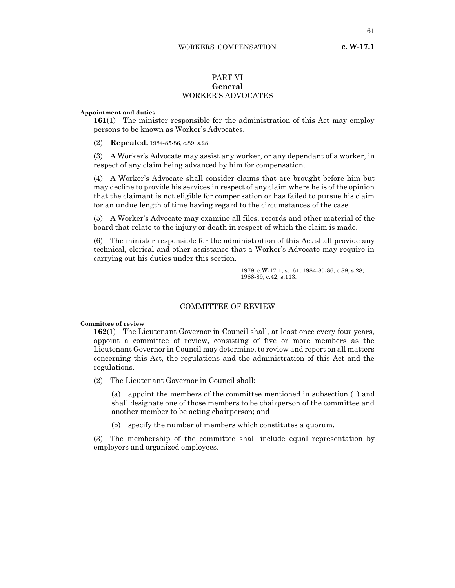# PART VI **General** WORKER'S ADVOCATES

#### **Appointment and duties**

**161**(1) The minister responsible for the administration of this Act may employ persons to be known as Worker's Advocates.

(2) **Repealed.** 1984-85-86, c.89, s.28.

(3) A Worker's Advocate may assist any worker, or any dependant of a worker, in respect of any claim being advanced by him for compensation.

(4) A Worker's Advocate shall consider claims that are brought before him but may decline to provide his services in respect of any claim where he is of the opinion that the claimant is not eligible for compensation or has failed to pursue his claim for an undue length of time having regard to the circumstances of the case.

(5) A Worker's Advocate may examine all files, records and other material of the board that relate to the injury or death in respect of which the claim is made.

(6) The minister responsible for the administration of this Act shall provide any technical, clerical and other assistance that a Worker's Advocate may require in carrying out his duties under this section.

> 1979, c.W-17.1, s.161; 1984-85-86, c.89, s.28; 1988-89, c.42, s.113.

## COMMITTEE OF REVIEW

**Committee of review**

**162**(1) The Lieutenant Governor in Council shall, at least once every four years, appoint a committee of review, consisting of five or more members as the Lieutenant Governor in Council may determine, to review and report on all matters concerning this Act, the regulations and the administration of this Act and the regulations.

(2) The Lieutenant Governor in Council shall:

(a) appoint the members of the committee mentioned in subsection (1) and shall designate one of those members to be chairperson of the committee and another member to be acting chairperson; and

(b) specify the number of members which constitutes a quorum.

(3) The membership of the committee shall include equal representation by employers and organized employees.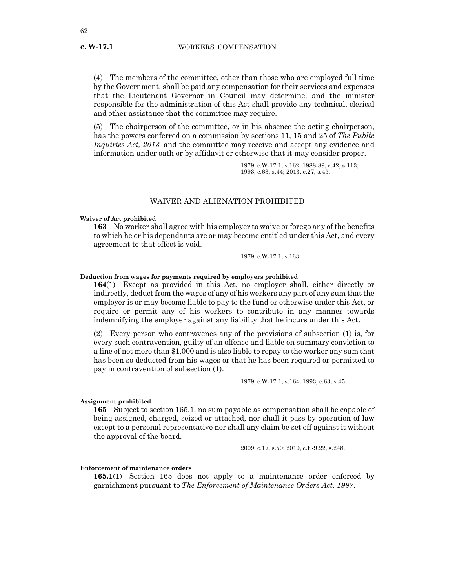(4) The members of the committee, other than those who are employed full time by the Government, shall be paid any compensation for their services and expenses that the Lieutenant Governor in Council may determine, and the minister responsible for the administration of this Act shall provide any technical, clerical and other assistance that the committee may require.

(5) The chairperson of the committee, or in his absence the acting chairperson, has the powers conferred on a commission by sections 11, 15 and 25 of *The Public Inquiries Act, 2013* and the committee may receive and accept any evidence and information under oath or by affidavit or otherwise that it may consider proper.

> 1979, c.W-17.1, s.162; 1988-89, c.42, s.113; 1993, c.63, s.44; 2013, c.27, s.45.

## WAIVER AND ALIENATION PROHIBITED

**Waiver of Act prohibited**

**163** No worker shall agree with his employer to waive or forego any of the benefits to which he or his dependants are or may become entitled under this Act, and every agreement to that effect is void.

1979, c.W-17.1, s.163.

## **Deduction from wages for payments required by employers prohibited**

**164**(1) Except as provided in this Act, no employer shall, either directly or indirectly, deduct from the wages of any of his workers any part of any sum that the employer is or may become liable to pay to the fund or otherwise under this Act, or require or permit any of his workers to contribute in any manner towards indemnifying the employer against any liability that he incurs under this Act.

(2) Every person who contravenes any of the provisions of subsection (1) is, for every such contravention, guilty of an offence and liable on summary conviction to a fine of not more than \$1,000 and is also liable to repay to the worker any sum that has been so deducted from his wages or that he has been required or permitted to pay in contravention of subsection (1).

1979, c.W-17.1, s.164; 1993, c.63, s.45.

#### **Assignment prohibited**

**165** Subject to section 165.1, no sum payable as compensation shall be capable of being assigned, charged, seized or attached, nor shall it pass by operation of law except to a personal representative nor shall any claim be set off against it without the approval of the board.

2009, c.17, s.50; 2010, c.E-9.22, s.248.

## **Enforcement of maintenance orders**

**165.1**(1) Section 165 does not apply to a maintenance order enforced by garnishment pursuant to *The Enforcement of Maintenance Orders Act, 1997*.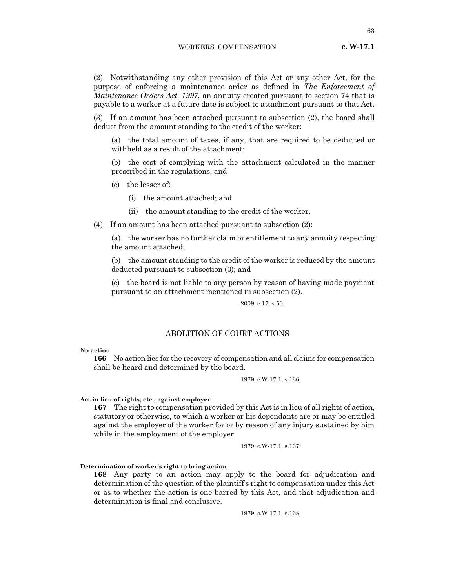(2) Notwithstanding any other provision of this Act or any other Act, for the purpose of enforcing a maintenance order as defined in *The Enforcement of Maintenance Orders Act, 1997*, an annuity created pursuant to section 74 that is payable to a worker at a future date is subject to attachment pursuant to that Act.

(3) If an amount has been attached pursuant to subsection (2), the board shall deduct from the amount standing to the credit of the worker:

(a) the total amount of taxes, if any, that are required to be deducted or withheld as a result of the attachment;

(b) the cost of complying with the attachment calculated in the manner prescribed in the regulations; and

- (c) the lesser of:
	- (i) the amount attached; and
	- (ii) the amount standing to the credit of the worker.

(4) If an amount has been attached pursuant to subsection (2):

(a) the worker has no further claim or entitlement to any annuity respecting the amount attached;

(b) the amount standing to the credit of the worker is reduced by the amount deducted pursuant to subsection (3); and

(c) the board is not liable to any person by reason of having made payment pursuant to an attachment mentioned in subsection (2).

2009, c.17, s.50.

## ABOLITION OF COURT ACTIONS

#### **No action**

**166** No action lies for the recovery of compensation and all claims for compensation shall be heard and determined by the board.

1979, c.W-17.1, s.166.

#### **Act in lieu of rights, etc., against employer**

**167** The right to compensation provided by this Act is in lieu of all rights of action, statutory or otherwise, to which a worker or his dependants are or may be entitled against the employer of the worker for or by reason of any injury sustained by him while in the employment of the employer.

1979, c.W-17.1, s.167.

## **Determination of worker's right to bring action**

**168** Any party to an action may apply to the board for adjudication and determination of the question of the plaintiff's right to compensation under this Act or as to whether the action is one barred by this Act, and that adjudication and determination is final and conclusive.

1979, c.W-17.1, s.168.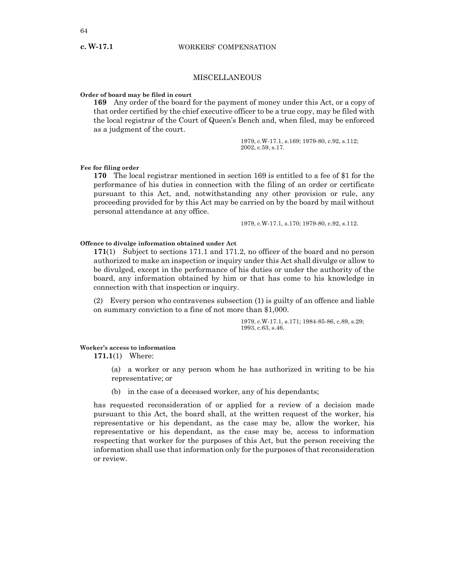## MISCELLANEOUS

## **Order of board may be filed in court**

**169** Any order of the board for the payment of money under this Act, or a copy of that order certified by the chief executive officer to be a true copy, may be filed with the local registrar of the Court of Queen's Bench and, when filed, may be enforced as a judgment of the court.

> 1979, c.W-17.1, s.169; 1979-80, c.92, s.112; 2002, c.59, s.17.

## **Fee for filing order**

**170** The local registrar mentioned in section 169 is entitled to a fee of \$1 for the performance of his duties in connection with the filing of an order or certificate pursuant to this Act, and, notwithstanding any other provision or rule, any proceeding provided for by this Act may be carried on by the board by mail without personal attendance at any office.

1979, c.W-17.1, s.170; 1979-80, c.92, s.112.

## **Offence to divulge information obtained under Act**

**171**(1) Subject to sections 171.1 and 171.2, no officer of the board and no person authorized to make an inspection or inquiry under this Act shall divulge or allow to be divulged, except in the performance of his duties or under the authority of the board, any information obtained by him or that has come to his knowledge in connection with that inspection or inquiry.

(2) Every person who contravenes subsection (1) is guilty of an offence and liable on summary conviction to a fine of not more than \$1,000.

> 1979, c.W-17.1, s.171; 1984-85-86, c.89, s.29; 1993, c.63, s.46.

## **Worker's access to information**

**171.1**(1) Where:

- (a) a worker or any person whom he has authorized in writing to be his representative; or
- (b) in the case of a deceased worker, any of his dependants;

has requested reconsideration of or applied for a review of a decision made pursuant to this Act, the board shall, at the written request of the worker, his representative or his dependant, as the case may be, allow the worker, his representative or his dependant, as the case may be, access to information respecting that worker for the purposes of this Act, but the person receiving the information shall use that information only for the purposes of that reconsideration or review.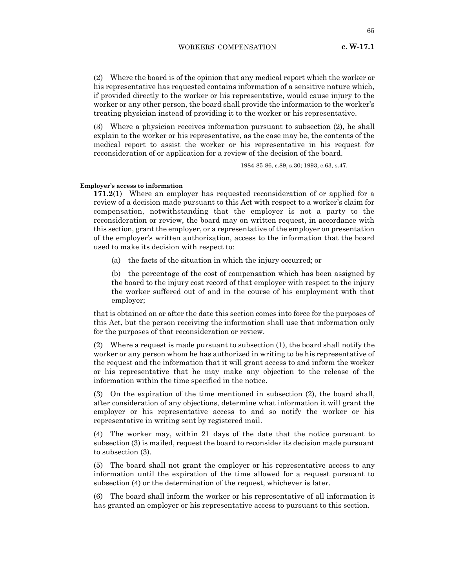(2) Where the board is of the opinion that any medical report which the worker or his representative has requested contains information of a sensitive nature which, if provided directly to the worker or his representative, would cause injury to the worker or any other person, the board shall provide the information to the worker's treating physician instead of providing it to the worker or his representative.

(3) Where a physician receives information pursuant to subsection (2), he shall explain to the worker or his representative, as the case may be, the contents of the medical report to assist the worker or his representative in his request for reconsideration of or application for a review of the decision of the board.

1984-85-86, c.89, s.30; 1993, c.63, s.47.

#### **Employer's access to information**

**171.2**(1) Where an employer has requested reconsideration of or applied for a review of a decision made pursuant to this Act with respect to a worker's claim for compensation, notwithstanding that the employer is not a party to the reconsideration or review, the board may on written request, in accordance with this section, grant the employer, or a representative of the employer on presentation of the employer's written authorization, access to the information that the board used to make its decision with respect to:

(a) the facts of the situation in which the injury occurred; or

(b) the percentage of the cost of compensation which has been assigned by the board to the injury cost record of that employer with respect to the injury the worker suffered out of and in the course of his employment with that employer;

that is obtained on or after the date this section comes into force for the purposes of this Act, but the person receiving the information shall use that information only for the purposes of that reconsideration or review.

(2) Where a request is made pursuant to subsection (1), the board shall notify the worker or any person whom he has authorized in writing to be his representative of the request and the information that it will grant access to and inform the worker or his representative that he may make any objection to the release of the information within the time specified in the notice.

(3) On the expiration of the time mentioned in subsection (2), the board shall, after consideration of any objections, determine what information it will grant the employer or his representative access to and so notify the worker or his representative in writing sent by registered mail.

(4) The worker may, within 21 days of the date that the notice pursuant to subsection (3) is mailed, request the board to reconsider its decision made pursuant to subsection (3).

(5) The board shall not grant the employer or his representative access to any information until the expiration of the time allowed for a request pursuant to subsection (4) or the determination of the request, whichever is later.

(6) The board shall inform the worker or his representative of all information it has granted an employer or his representative access to pursuant to this section.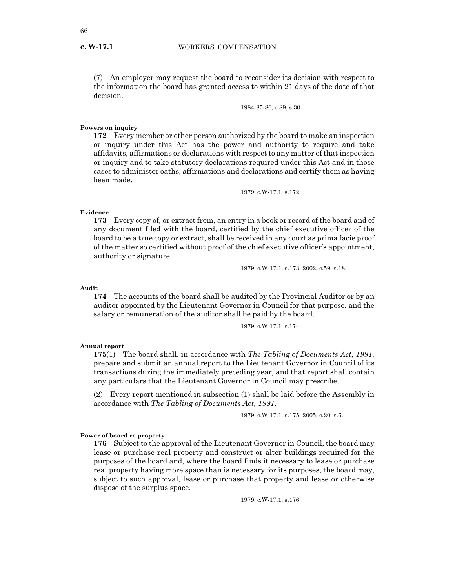(7) An employer may request the board to reconsider its decision with respect to the information the board has granted access to within 21 days of the date of that decision.

1984-85-86, c.89, s.30.

## **Powers on inquiry**

**172** Every member or other person authorized by the board to make an inspection or inquiry under this Act has the power and authority to require and take affidavits, affirmations or declarations with respect to any matter of that inspection or inquiry and to take statutory declarations required under this Act and in those cases to administer oaths, affirmations and declarations and certify them as having been made.

1979, c.W-17.1, s.172.

## **Evidence**

**173** Every copy of, or extract from, an entry in a book or record of the board and of any document filed with the board, certified by the chief executive officer of the board to be a true copy or extract, shall be received in any court as prima facie proof of the matter so certified without proof of the chief executive officer's appointment, authority or signature.

1979, c.W-17.1, s.173; 2002, c.59, s.18.

**Audit**

**174** The accounts of the board shall be audited by the Provincial Auditor or by an auditor appointed by the Lieutenant Governor in Council for that purpose, and the salary or remuneration of the auditor shall be paid by the board.

1979, c.W-17.1, s.174.

#### **Annual report**

**175**(1) The board shall, in accordance with *The Tabling of Documents Act, 1991*, prepare and submit an annual report to the Lieutenant Governor in Council of its transactions during the immediately preceding year, and that report shall contain any particulars that the Lieutenant Governor in Council may prescribe.

(2) Every report mentioned in subsection (1) shall be laid before the Assembly in accordance with *The Tabling of Documents Act, 1991*.

1979, c.W-17.1, s.175; 2005, c.20, s.6.

#### **Power of board re property**

**176** Subject to the approval of the Lieutenant Governor in Council, the board may lease or purchase real property and construct or alter buildings required for the purposes of the board and, where the board finds it necessary to lease or purchase real property having more space than is necessary for its purposes, the board may, subject to such approval, lease or purchase that property and lease or otherwise dispose of the surplus space.

1979, c.W-17.1, s.176.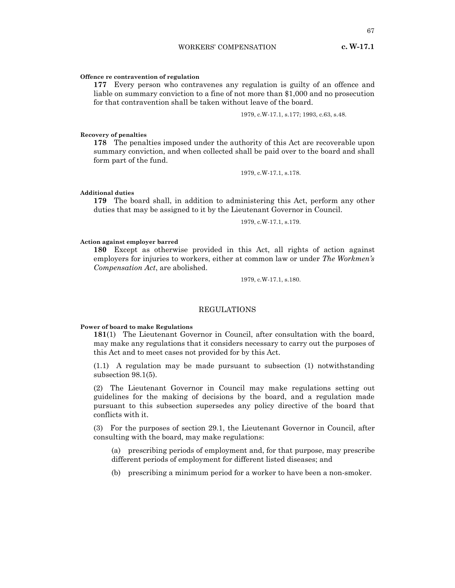## **Offence re contravention of regulation**

**177** Every person who contravenes any regulation is guilty of an offence and liable on summary conviction to a fine of not more than \$1,000 and no prosecution for that contravention shall be taken without leave of the board.

1979, c.W-17.1, s.177; 1993, c.63, s.48.

## **Recovery of penalties**

**178** The penalties imposed under the authority of this Act are recoverable upon summary conviction, and when collected shall be paid over to the board and shall form part of the fund.

1979, c.W-17.1, s.178.

## **Additional duties**

**179** The board shall, in addition to administering this Act, perform any other duties that may be assigned to it by the Lieutenant Governor in Council.

1979, c.W-17.1, s.179.

## **Action against employer barred**

**180** Except as otherwise provided in this Act, all rights of action against employers for injuries to workers, either at common law or under *The Workmen's Compensation Act*, are abolished.

1979, c.W-17.1, s.180.

## REGULATIONS

## **Power of board to make Regulations**

**181**(1) The Lieutenant Governor in Council, after consultation with the board, may make any regulations that it considers necessary to carry out the purposes of this Act and to meet cases not provided for by this Act.

(1.1) A regulation may be made pursuant to subsection (1) notwithstanding subsection 98.1(5).

(2) The Lieutenant Governor in Council may make regulations setting out guidelines for the making of decisions by the board, and a regulation made pursuant to this subsection supersedes any policy directive of the board that conflicts with it.

(3) For the purposes of section 29.1, the Lieutenant Governor in Council, after consulting with the board, may make regulations:

(a) prescribing periods of employment and, for that purpose, may prescribe different periods of employment for different listed diseases; and

(b) prescribing a minimum period for a worker to have been a non-smoker.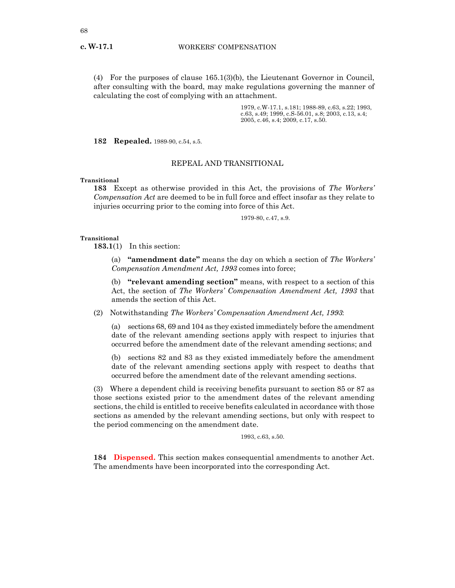(4) For the purposes of clause 165.1(3)(b), the Lieutenant Governor in Council, after consulting with the board, may make regulations governing the manner of calculating the cost of complying with an attachment.

> 1979, c.W-17.1, s.181; 1988-89, c.63, s.22; 1993, c.63, s.49; 1999, c.S-56.01, s.8; 2003, c.13, s.4; 2005, c.46, s.4; 2009, c.17, s.50.

**182 Repealed.** 1989-90, c.54, s.5.

## REPEAL AND TRANSITIONAL

## **Transitional**

**183** Except as otherwise provided in this Act, the provisions of *The Workers' Compensation Act* are deemed to be in full force and effect insofar as they relate to injuries occurring prior to the coming into force of this Act.

1979-80, c.47, s.9.

#### **Transitional**

**183.1**(1) In this section:

(a) **"amendment date"** means the day on which a section of *The Workers' Compensation Amendment Act, 1993* comes into force;

(b) **"relevant amending section"** means, with respect to a section of this Act, the section of *The Workers' Compensation Amendment Act, 1993* that amends the section of this Act.

(2) Notwithstanding *The Workers' Compensation Amendment Act, 1993*:

(a) sections 68, 69 and 104 as they existed immediately before the amendment date of the relevant amending sections apply with respect to injuries that occurred before the amendment date of the relevant amending sections; and

(b) sections 82 and 83 as they existed immediately before the amendment date of the relevant amending sections apply with respect to deaths that occurred before the amendment date of the relevant amending sections.

(3) Where a dependent child is receiving benefits pursuant to section 85 or 87 as those sections existed prior to the amendment dates of the relevant amending sections, the child is entitled to receive benefits calculated in accordance with those sections as amended by the relevant amending sections, but only with respect to the period commencing on the amendment date.

1993, c.63, s.50.

**184 Dispensed.** This section makes consequential amendments to another Act. The amendments have been incorporated into the corresponding Act.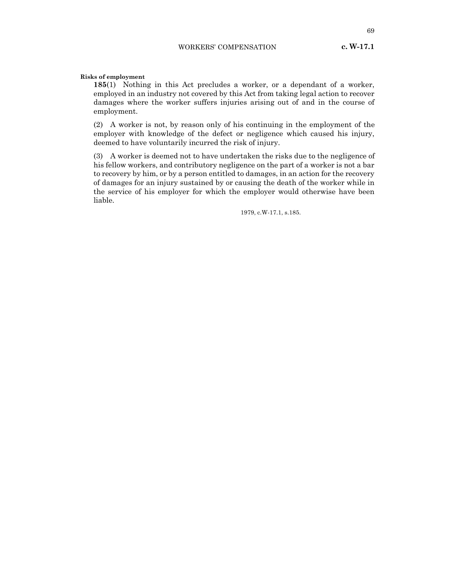**185**(1) Nothing in this Act precludes a worker, or a dependant of a worker, employed in an industry not covered by this Act from taking legal action to recover damages where the worker suffers injuries arising out of and in the course of employment.

(2) A worker is not, by reason only of his continuing in the employment of the employer with knowledge of the defect or negligence which caused his injury, deemed to have voluntarily incurred the risk of injury.

(3) A worker is deemed not to have undertaken the risks due to the negligence of his fellow workers, and contributory negligence on the part of a worker is not a bar to recovery by him, or by a person entitled to damages, in an action for the recovery of damages for an injury sustained by or causing the death of the worker while in the service of his employer for which the employer would otherwise have been liable.

1979, c.W-17.1, s.185.